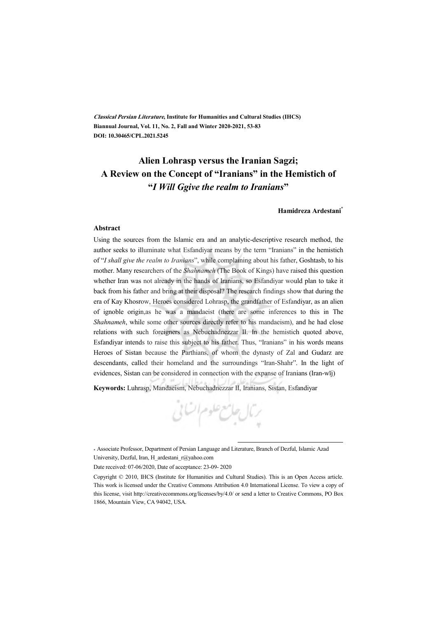**Classical Persian Literature, Institute for Humanities and Cultural Studies (IHCS) Biannual Journal, Vol. 11, No. 2, Fall and Winter 2020-2021, 53-83 DOI: 10.30465/CPL.2021.5245** 

## **Alien Lohrasp versus the Iranian Sagzi; A Review on the Concept of "Iranians" in the Hemistich of "***I Will Ggive the realm to Iranians***"**

### **Hamidreza Ardestani\***

### **Abstract**

Using the sources from the Islamic era and an analytic-descriptive research method, the author seeks to illuminate what Esfandiyar means by the term "Iranians" in the hemistich of "*I shall give the realm to Iranians*", while complaining about his father, Goshtasb, to his mother. Many researchers of the *Shahnameh* (The Book of Kings) have raised this question whether Iran was not already in the hands of Iranians, so Esfandiyar would plan to take it back from his father and bring at their disposal? The research findings show that during the era of Kay Khosrow, Heroes considered Lohrasp, the grandfather of Esfandiyar, as an alien of ignoble origin,as he was a mandaeist (there are some inferences to this in The *Shahnameh*, while some other sources directly refer to his mandaeism), and he had close relations with such foreigners as Nebuchadnezzar II. In the hemistich quoted above, Esfandiyar intends to raise this subject to his father. Thus, "Iranians" in his words means Heroes of Sistan because the Parthians, of whom the dynasty of Zal and Gudarz are descendants, called their homeland and the surroundings "Iran-Shahr". In the light of evidences, Sistan can be considered in connection with the expanse of Iranians (Iran-wīj)

**Keywords:** Luhrasp, Mandaeism, Nebuchadnezzar II, Iranians, Sistan, Esfandiyar



:

\* Associate Professor, Department of Persian Language and Literature, Branch of Dezful, Islamic Azad University, Dezful, Iran, H\_ardestani\_r@yahoo.com

Date received: 07-06/2020, Date of acceptance: 23-09- 2020

Copyright © 2010, IHCS (Institute for Humanities and Cultural Studies). This is an Open Access article. This work is licensed under the Creative Commons Attribution 4.0 International License. To view a copy of this license, visit http://creativecommons.org/licenses/by/4.0/ or send a letter to Creative Commons, PO Box 1866, Mountain View, CA 94042, USA.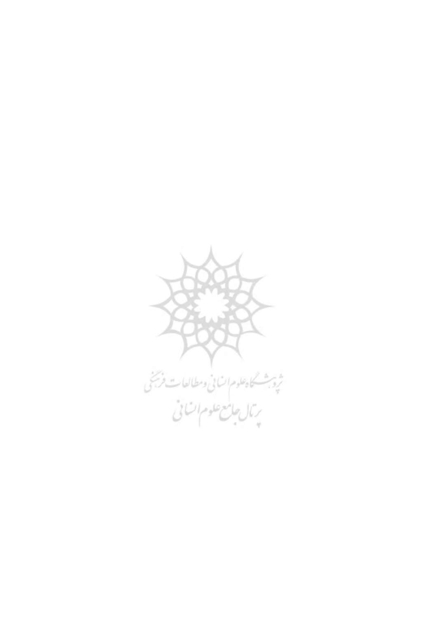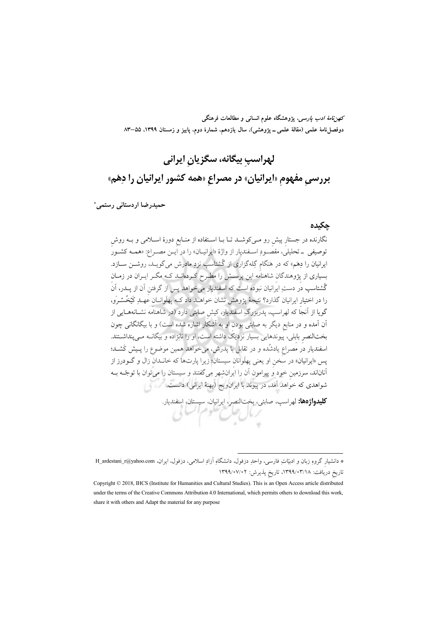*كهن نامهٔ ادب يارسي*، يژوهشگاه علوم انسان<sub>ی</sub> و مطالعات فرهنگي دوفصلiامهٔ علمی (مقالهٔ علمی ــ پژوهشی)، سال یازدهم، شمارهٔ دوم، پاییز و زمستان ۱۳۹۹، ۵۵–۸۳

## لهراسپ بیگانه، سگزیان ایرانی بررسي مفهوم «ايرانيان» در مصراع «همه كشور ايرانيان را دِهَم»

حمیدرضا اردستانی رستمی\*

### چکیدہ

نگارنده در جستار پیش رو مـیکوشــد تــا بــا اســتفاده از منــابع دورهٔ اســلامی و بــه روش توصيفي \_تحليليَ، مقصَــودِ اســفنديار از واژهٔ «ايرانيــان» را درِ اَيــن مصــراع: «همــه كشــورَ ایرانیان را دِهَم» که در هَنگام گِلهگزاری از گُشتاسب نزدِ مادرش میگویــدَ، روشــن ســازد. بسیاری از پژوهندگان شاهنامه این پرســش را مطــرح کــردهانــد کــه مگــر ایــران در زمــان گُشتاسپ در دستِ ایرانیان نبوده است که اسفندیار می خواهد پس از گرفتن آن از پــدر، آن را در اختیار ایرانیان گذارد؟ نتیجهٔ پژوهش نشان خواهــد داد کــه پهلَوانــان عهــدِ کَیْخُسْــرَو، گویا از آنجا که لهراسپ، پدربزرگِ اسفندیار، کیش صابئی دارد (در شاهنامه نشــانههــایی از آن آمده و در منابع دیگر به صابئی بودن او به آشکّار اشاره شده است) و با بیگانگانی چون بختالنصر بابلی، پیوندهایی بسیار نزدیکَ داشته است، او را نانِژاده و بیگانــه مــیپنداشــتند. اسفندیار در مصراع یادشٌده و در تقابل با پدرش، میخواهد همین موضوع را پـیش کَشــد؛ پس «ایرانیان» در سُخن او یعنی پهلَوانان سیستان؛ زیرا پارتها که خانــدان زال و گــودرز از آناناند، سرزمین خود و پیرامون آن را ایرانشهر میگفتند و سیستان را میتوان با توجّـه بــه شواهدی که خواهد آمد، در پیوَند با ایرانویج (پهنهٔ ایرانی) دانست. <mark>كليدواژهها:</mark> لهراسپ، صابئ<sub>ی</sub>، بختالنصر، ايرانيان، سيستان، اسفنديار.<br>-

<sup>\*</sup> دانشيار گروهِ زبان و ادبيّاتِ فارسي، واحدِ دزفول، دانشگاهِ آزادِ اسلامي، دزفول، ايران، H\_ardestani\_r@yahoo.com تاریخ دریافت: ۱۳۹۹/۰۳/۱۸، تاریخ پذیرش: ۱۳۹۹/۰۷/۰۲

Copyright © 2018, IHCS (Institute for Humanities and Cultural Studies). This is an Open Access article distributed under the terms of the Creative Commons Attribution 4.0 International, which permits others to download this work, share it with others and Adapt the material for any purpose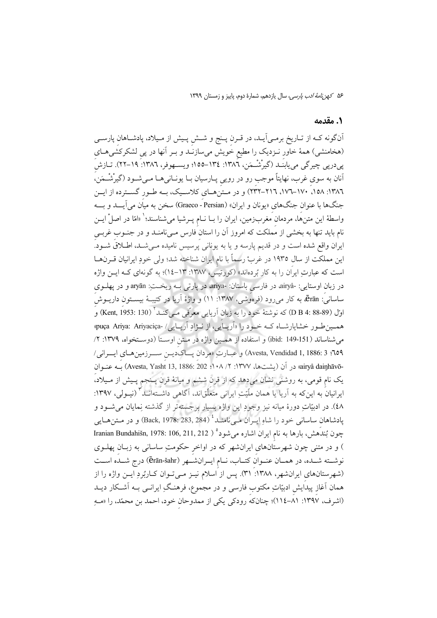### 1. مقدمه

انگونه کـه از تــاريخ برمــي|َيــد، در قــرن پــنج و شــش پـيش از مـيلاد، پادشــاهانِ پارســـي (هخامنشی) همهٔ خاورِ نـزدیک را مطیع خویش میسازنـد و بـر آنها در پیِ لشکرکشیهـای پیدرپی چیرگی می،یابسد (گیرْشْــمَن، ١٣٨٦: ١٣٤–١٥٥؛ ویســهوفر، ١٣٨٦: ١٩–٢٢). تــازشُ آنان به سوی غرب، نهایتاً موجب رو در رویی<sub>ِ</sub> پــارسیان بــا یونــانی۵هــا مــیشــود (گیرْشْــمَن<sup>ْ</sup>، ۱۳۸٦: ۱۵۸، ۱۷۰–۱۷۲، ۲۱٦–۲۳۲) و در مـتنهـاي كلاسـيک، بــه طـور گسـترده از ايــن جنگها با عنوان جنگهای «یونان و ایران» (Graeco - Persian) سخن به میان می]یــــد و بــــه واسطهٔ این متن۱ها، مردمان مغربزمین، ایران را بــا نــام پــرشیا میشناسند؛` «امّا در اصلْ ایــن نام باید تنها به بخشی از مُملکت که امروز آن را استان فارس مـیiمنـد و در جنــوب غربــی ایران واقع شده است و در قدیم پارسه و یا به یونانی پرسیس نامیده مـیشـد، اطــلاق شــود. این مملکت از سال ۱۹۳۵ در غربْ رسماً با نام ایران شناخته شد؛ ولی خودِ ایرانیان قـرنهــا است که عبارتِ ایرَان را به کار بُردهاند» (کورتیسٌ، ۱۳۸۷: ۱۴–۱٤)؛ به گونهای کــه ایــن واژه در زبان اوستایی: -airyå در فارسی باستان: -ariya در پارتی بـه ریخـتِ: aryān و در پهلــوی ساسانیَ: ērān، به کار م<sub>ی</sub>رود (فرەُوشى، ۱۳۸۷: ۱۱) و واژهٔ اَریا در کتیبـهٔ بیســتون داریــوشُ اول (B 4: 88-89) كه نوشتهٔ خود را به زبان اَريايي معرّفي مـيكنـد (Kent, 1953: 130) وَ هممین طور خشایارشـاه کـه خـود را «آریـایی، از نــژادِ آریـایی/ -puça Ariya: Ariyaciça» می شناساند (ibid: 149-151) و استفاده از هممین واژه در متن اوستا (دوستخواه، ۱۳۷۹: ۲/ ۹۵۹: Avesta, Vendidad 1, 1886: 3) و عبارتِ «مردان پساک دیـن ســـرزمینهای ایـــرانی/ -airyå daiŋhāvō، در آن (يشتها، ١٣٧٧: ١٠٨)؟ Avesta, Yasht 13, 1886: 202) بَــه عنــوان یک نام قومی، به روشنی نشان میدهد که از قرن ششم و میانهٔ قرن پــنجم پــیش از مــیلاد، ایرانیانَ به این که به آریا یا همان ملّیّتِ ایرانی متعلّقاند، آگاهی داشّتهانـد آ (نیــولی، ۱۳۹۷: ٤٨). در ادبيّاتِ دورهٔ ميانه نيز وجودِ اين واژه بسيار برجستهتر از گذشته نِمايان مي شـود و پادشاهان ساسانی خود را شاهِ ایــران مــیiامنــد<sup>، (</sup> Back, 1978: 283, 284) و در مــتن۵ــایی جون بُندهش، بارها به نام ايران اشاره مى شود° ( Iranian Bundahišn, 1978: 106, 211, 212 ) و در متنی چون شهرستانهای ایرانشهر که در اواخر حکومتِ ساسانی به زبــان پهلــوی نوشــته شــده، در همــان عنــوان كتــاب، نــام ايــرانشــهر (ērān-šahr) درج شــده اســت (شهرستانهای ایرانشهر، ۱۳۸۸: ۳۱). پس از اسلام نیـز مـیتـوان کـاربُردِ ایـن واژه را از همان آغاز پیدایش ادبیّاتِ مکتوب فارسی و در مجموع، فرهنگِ ایرانــی بــه اَشــکار دیــد (اشرف، ١٣٩٧: ٨١-١١٤)؛ چنانکه رودکی يکي از ممدوحان خود، احمد بن محمّد، را «مـــو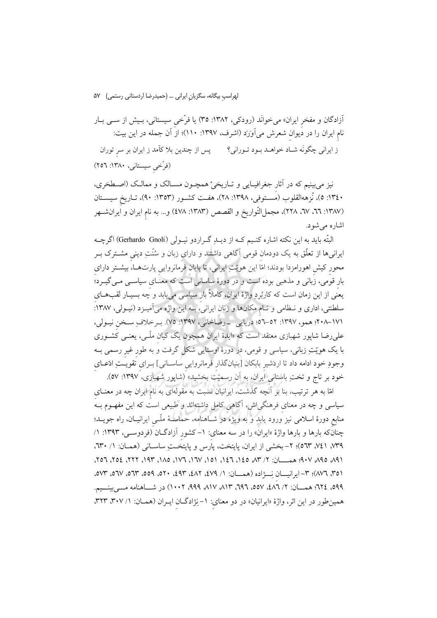آزادگان و مفخر ایران» می خوانَد (رودکی، ۱۳۸۲: ۳۵) یا فرّخی سیستانی، بـیش از سـی بـار نام ایران را در دَیوان شعرش میآوَرَد (اشرف، ۱۳۹۷: ۱۱۰)؛ ازَ آن جمله در این بیت: ز ایرانی چگونَه شـاد خواهــد بــود تــورانی؟ پس از چندین بلا کآمد ز ایران بر سر توران (فرّخی سیستانی، ۱۳۸۰: ۲۵٦)

نیز میبینیم که در آثار جغرافیـایی و تــاریخیْ همچــون مســالک و ممالـک (اصــطخری، ۱۳٤۰: ٥)، نُزههالقلوب (مُســتوفى، ١٣٩٨: ٢٨)، هفــت كشــور (١٣٥٣: ٩٠)، تــاريخ سيســتان (١٣٨٧: ٦٦، ٦٧، ٢٢٨)، مجمل|لتّواريخ و القصص (١٣٨٣: ٤٧٨) و… به نامٍ ايران و ايرانشــهر اشاره م<sub>ی</sub>شود.

البتّه باید به این نکته اشاره کنـیم کـه از دیــلهِ گــراردو نیــولی (Gerhardo Gnoli) اگرچــه ایرانیها از تعلُّق به یک دودمان قومی آگاهی داشتند و دارایِ زبان و سُنّتِ دینی مشــترک بــر محور کیش اهورامزدا بودند؛ امّا این هویّتِ ایرانی، تا پایان فرمانروایی پارتهــا، بیشــتر دارای بار قومی، زبانی و مذهبی بوده است و در دورهٔ ساسانی است که معنــای سیاســی مــیگیــرد؛َ یعنی از این زمان است که کاربُردِ واژهٔ ایران، کاملاً بار سیاسی مییابد و چه بسیـار لقبهـای سلطنتي، اداري و نـظامي و نـام مكانها و زنان ايراني، بـه اين واژه مي آميـزد (نيـولي، ١٣٨٧: ١٧١–٢٠٨؛ همو، ١٣٩٧: ٥٢–٥٦؛ دريايي \_ رضاخاني، ١٣٩٧: ٧٥). بـرخلافِ سـخن نيـولي، علی رضا شاپور شهبازی معتقد است که «ایدهٔ ایران همچون یک کیان ملّـی، یعنــی کشــوری با یک هویّتِ زبانی، سیاسی و قومی، در دورهٔ اوستایی شکل گرفت و به طور غیر رسمی بــه وجودِ خود ادامه داد تا اردَشير بابكان [بنيانگذار فرمانروايي ساســاني] بــراي تقويــتِ ادّعــاي خود بر تاج و تختِ باستانی ایران، به آن رسمیّت بخشید» (شاپور شهبازی، ۱۳۹۷: ۵۷).

امّا به هر ترتیب، بنا بر آنچه گذشت، ایرانیان نسبت به مقولهای به نام ایران چه در معنــای سیاسی و چه در معنای فرهنگیاش، آگاهی کامل داشتهاند و طبیعی است که این مفهـوم بـه منابع دورهٔ اسلامی نیز ورود یابد و به ویژه در شــاهنامه، حماســهٔ ملّــی ایرانیــان، راه جویــد؛ چنانَکه بارها و بارها واژهٔ «ایران» را در سه معنای: ۱–کشور آزادگــان ً(فردوســی، ۱۳۹۳: ۱/ ٬۳۹ (٧٤١ تام)؛ ٢- بخشي از ايران، پايتخت، پارس و پايتخـت ساسـاني (همـان: ١/ ٦٣٠، (٩٠٧ - ٩٠٧)؛ همسان: ٢/ ٨٣ ه ١٤٥، ١٤٦، ١٥١، ١٣٧، ١٧٦، ١٨٥، ١٩٢، ٢٢٢، ١٥٤، ٥٦، ٥٢، ٥٦، ٧٦٦)؛ ٣–ايرانيسان نِســڙاده (همســان: ١/ ٤٧٩، ٤٨٢، ٤٩٣، ٢٥٩، ٥٦٣، ٧٣٥، ٥٦٣، ٥٨٣، ٥٩٩، ٢٢٤؛ همسان: ٢/ ٤٨٦، ٥٥٧، ٢٩٦، ٨١٧، ٩٩٩، ٢٠٠٢) در شـــاهنامه مـــي بينـــيم. همین طور در این اثر، واژهٔ «ایرانیان» در دو معنای: ١- نِژادگـان ایـران (همـان: ١/ ٣٠٧، ٣٢٣،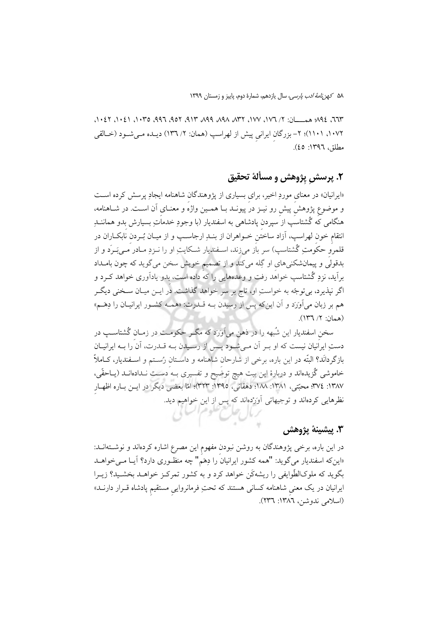۵۸ كهز *نامهٔ ادب پارسی،* سال یازدهم، شمارهٔ دوم، پاییز و زمستان ۱۳۹۹

TT, 3PN and J. TV TVI, WI, TTN NPN PPN TIP, TOP, TPP, 071, 131, 731, ۰۱۰۷۲ (۱۱۰۱)؛ ۲- بزرگان ایرانی پیش از لهراسپ (همان: ۲/ ۱۳۳) دیـده مـیشـود (خـالقی مطلق، ١٣٩٦: ٤٥).

## ٢. پرسش پژوهش و مسألهٔ تحقیق

«ایرانیان» در معنای موردِ اخیر، برای بسیاری از پژوهندگان شاهنامه ایجادِ پرسش کرده اسـت و موضوعٍ پژوهش پیش رو نیــز در پیونــد بــا همــین واژه و معنــای آن اســت. در شــاهنامه، هنگامی که گُشتاسپ از سپردن پادشاهی به اسفندیار (با وجودِ خدماتِ بسیارش بدو هماننـــلهِ انتقام خون لهراسپ، آزاد ساختن خــواهران از بنــلـ ارجاســپ و از ميــان بُــردن نابكــاران در قلمرو حکومتِ گُشتاسپ) سر باز میزند، اســفندیار شــکایتِ او را نــزدِ مــادر مــیبَــرَد و از بدقولی و پیمانشکنیهای او گِله میکند و از تصمیم خویش سخن میگوید که چون بامــداد برآید، نزدِ گُشتاسپ خواهَد رفت و وعدههایی را که داده است، بدو یادآوری خواهد کــرد و اگر نپذیرد، بیتوجّه به خواستِ او، تاج بر سر خواهد گذاشت. در ایــن میـان سـخنی دیگــر هم بر زبان می آوَرَد و آن این که پس از رسیدن بـه قــدرت: «همــه کشــور ایرانیــان را دِهَــم» (همان: ٢/ ١٣٦).

سخن اسفندیار این شُبهه را در ذهن می]وَرَد که مگـر حکومـت در زمـان گُشتاســپ در دستِ ایرانیان نیست که او بـر آن مـیشـود پـس از رسـیدن بـه قـدرت، آن را بـه ایرانیـان بازگردانَد؟ البتّه در این باره، برخی از شارحان شاهنامه و داســتان رُســتم و اســفندیار، کــاملاً خاموشی گُزیدهاند و دربارهٔ این بیت هیچ توضیح و تفسیری بــه دســت نــدادهانــد (یــاحقّی، ١٣٨٧: ٣٧٤؛ محبّتي، ١٣٨١: ١٨٨؛ دهقاني، ١٣٩٥: ٣٢٣)؛ امّا بعضي ديگر در ايــن بــاره اظهــار نظرهایی کردهاند و توجیهاتی آوَرْدهاند که پس از این خواهیم دید.

## ٣. ييشينة يژوهش

در این باره، برخی پژوهندگان به روشن نبودن مفهوم این مصرع اشاره کردهاند و نوشــتهانــد: «این که اسفندیار می گوید: "همه کشور ایرانیان را دِهَمْ" چه منظـوری دارد؟ آیــا مــی خواهــد بگوید که ملوکالطّوایفی را ریشهکَن خواهد کرد و به کشور تمرکـز خواهـد بخشـید؟ زیــرا ایرانیان در یک معنی شاهنامه کسانی هستند که تحتِ فرمانروایی مستقیم پادشاه قـرار دارنــد» (اسلامی ندوشن، ۱۳۸۲: ۲۳۲).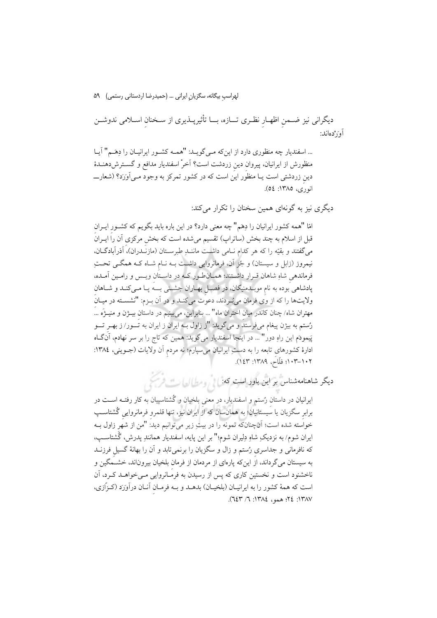دیگرانی نیز ضـمن اظهـار نظـری تــازه، بــا تأثیرپــذیری از سـخنان اســلامی ندوشــن آوَ؟ ثدهاند:

... اسفندیار چه منظوری دارد از اینکه میگویـد: "همـه کشـور ایرانیـان را دِهَـم" آیـا منظورش از ايرانيان، پيروان دين زردشت است؟ آخرْ اسفنديار مدافع و گسـترش(دهنــدهٔ دین زردشتی است یـا منظوّر این است که در کشور تمرکز به وجود مـی]وَرَد؟ (شعارــــ انوري، ١٣٨٥: ٥٤).

دیگری نیز به گونهای همین سخنان را تکرار میکند:

امّا "همه کشور ایرانیان را دِهَم" چه معنی دارد؟ در این باره باید بگویم که کشـور ایـران قبل از اسلام به چند بخش (ساتراپ) تقسیم میشده است که بخش مرکزی آن را ایــران میگفتند و بقیّه را که هر کدام نـامی داشـت ماننـدِ طبرسـتان (مازنَـدران)، اَذرآبادگــان، نیمروز (زابل و سیستان) و جُز آن، فرمانروایی داشت بـه نـام شـاه کـه همگـی تحـتِ فرماندهی شاهِ شاهان قـرار داشــتند؛ همــانطـور کــه در داسـتان ویــس و رامـین آمــده، پادشاهی بوده به نام موبــدمنیکان، در فصــل بهــاران جشــنی بـــهُ پــا مــیکنــد و شــاهان ولايتها را كه از وي فرمان مي بُردند، دعوت مي كنـد و در آن بـزم: "نشسـته در ميـان مهتران شاه/ چنان کاندر میان اختران ماه" … بنابراین، می،پینیم در داستان بیــژن و منیــژَه …َ رُستم به بیژن پیغام میفرستد و میگوید: "ز زاول بـه ایران ز ایران به تـــور/ز بهــر تـــو پَیمودَم این راهِ دور" ... در اینجا اسفندیار میگوید: همین که تاج را بر سر نهادم، آنگIه ادارهٔ کشورهای تابعه را به دستِ ایرانیان میسپارم؛ نه مردم آن ولایات (جـوینی، ۱۳۸٤: ١٠٢–١٠٢؛ فلَّاحَ، ١٣٨٩: ١٤٣).

دیگر شاهنامهشناس بر این باور است که: ۱<sub>۱ و مط</sub>ال

ایرانیان در داستان رُستم و اسفندیار، در معنی بلخیان و گُشتاسپیان به کار رفتـه اســت در برابر سگزیان یا سیستانیان؛ به همانسان که از ایران نیز، تنها قلمرو فرمانروایی گُشتاسـپ خواسته شده است؛ آنچنانکه نمونه را در بیتِ زیر میتوانیم دید: "من از شهر زاول بـه ایران شوم/ به نزدیکِ شاهِ دِلیران شوم؛" بر این پایه، اسفندیار همانندِ پدرش، گَنشتاســپ، که نافرمانی و جداسری رُستم و زال و سگزیان را برنمی تابد و آن را بهانهٔ گسیل فرزنــد به سیستان می گرداند، از این که پارهای از مردمان از فرمان بلخیان بیرون(ند، خشــمگین و ناخشنود است و نخستین کاری که پس از رسیدن به فرمُـانروایی مـی خواهــد کـرد، آن است که همهٔ کشور را به ایرانیـان (بلخیـان) بدهـد و بـه فرمـان آنـان درآورَد (کـزّازي،  $Y \wedge Y'$ :  $Y$ ? همو، ١٣٨٤: ٢/ ٦٤٣).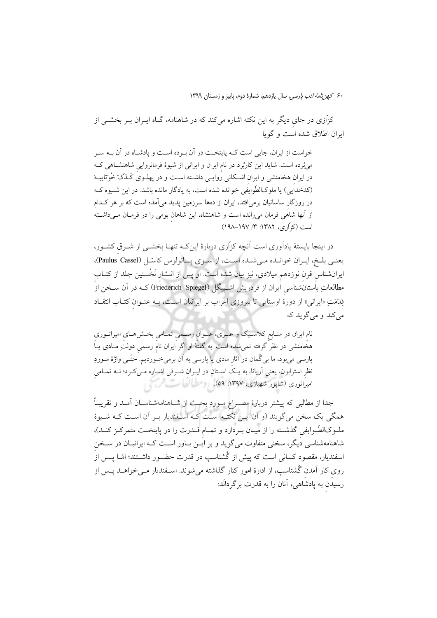کزّازی در جای دیگر به این نکته اشاره میکند که در شاهنامه، گـاه ایــران بــر بخشــی از ابران اطلاق شده است و گويا

خواست از ایران، جایی است کـه پایتخـت در آن بـوده اسـت و پادشـاه در آن بـه سـر می بُرده است. شاید این کاربُرد در نام ایران و ایرانی از شیوهٔ فرمانروایی شاهنشاهی ک در ایران هخامنشی و ایران اشکانی روایـی داشـته اسـت و در پهلــوی کَــذَک ْخُوتاییـــهْ (كدخدايي) يا ملوكالطّوايفي خوانده شده است، به يادگار مانده باشد. در اين شـيوه كـه در روزگار ساسانیان برمیافتد، ایران از دهها سرزمین پدید میآمده است که بر هر ک دام از آنها شاهًى فرمان مىرانده است و شاهنشاه، اين شاهان بومى را در فرمــان مــىداشــته است (کزّازی، ۱۳۸۲: ۳/ ۱۹۷–۱۹۸).

در اینجا بایستهٔ یادآوری است آنچه کزّازی دربارهٔ اینکه تنهـا بخشــی از شــرق کشــور، يعني بلخ، ايران خوانيده مي شيده است، از سوى يبائولوس كاسل (Paulus Cassel)، ایرانشناس قرن نوزدهم میلادی، نیز بیان شده است. او پس از انتشار نَخُستین جلد از کتــاب مطالعاتِ باستانشناسی ایران از فردریش اشـپیگل (Friederich Spiegel) کــه در آن ســخن از قِدْمَتِ «ایرانی» از دورهٔ اوستایی تا پیروزی اعراب بر ایرانیان اسـت، بــه عنــوان کتــاب انتقــاد مي کند و مي گويد که

نام ایران در منـابع کلاسـیک و عبـری، عنـوان رسـمی تمـامی بخـشهـای امپراتـوری هخَامنشی در نظر گرفته نمیشده است. به گفتهٔ او اگر ایران نام رسمی دولتِ مــادی یــاً پارسی میبود، ما بی گُمان در آثار مادی یا پارسی به اّن برمیخـوردیم. َحتّـی واژهٔ مـوردِ نظر استرابون، یعنی اَریانا، به یـک اسـتان در ایــران شــرقی اشــاره مــیکــرد؛ نــه تمــامی امپراتوری (شاپور شهبازی، ۱۳۹۷: ۵۹). و مطالعات است کرکس

جدا از مطالبی که پیشتر دربارهٔ مصــراع مــوردِ بحــث از شــاهنامهشناســان آمــد و تقریبــاً همگی یک سخن میگویند (و اَن ایــن نکتـه اســت کـه اســفندیار بــر اَن اسـت کــه شــیوهٔ ملـوكالطّـوايفي گذشـته را از ميـان بـردارد و تمـام قــدرت را در پايتخـت متمركـز كنـد)، شاهنامهشناسی دیگر، سخنی متفاوت میگوید و بر ایــن بــاور اســت کــه ایرانیــان در ســخن اسفندیار، مقصود کسانی است که پیش از گُشتاسپ در قدرت حضــور داشــتند؛ امّــا پــس ازَ روی کار آمدن گُشتاسپ، از ادارهٔ امور کنار گذاشته می شوند. اسـفندیار مـی خواهــد پــس از رسیدن به پادشاهی، آنان را به قدرت برگردانَد: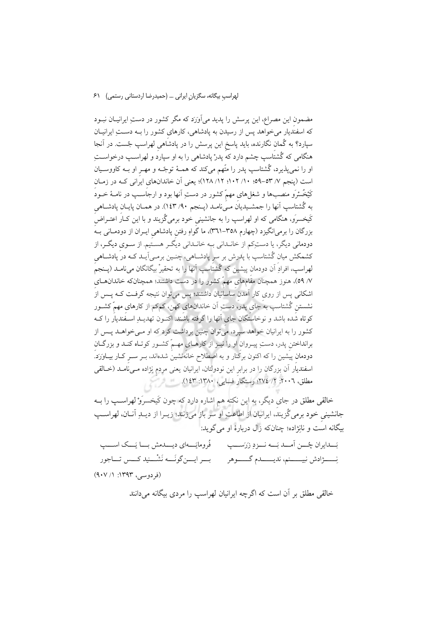### لهراسب بيگانه، سكزيان ايراني ... (حميدرضا اردستاني رستمي) ـ ۶۱

مضمون این مصراع، این پرسش را پدید می آوَرَد که مگر کشور در دستِ ایرانیــان نبــود که اسفندیار می خواهد پس از رسیدن به پادشاهی، کارهای کشور را بـه دسـتِ ایرانیـان سپارد؟ به گُمان نگارنده، باید پاسخ این پرسش را در پادشاهی لهراسپ جُست. در آنجا هنگامی که گُشتاسپ چشم دارد که پدرْ یادشاهی را به او سیارد و لهراسـب درخواسـتِ او را نمیپذیرد، گُشتاسپ پدر را متّهم میکند که همـهٔ توجّـه و مهـر او بـه کاووسـیان است (پنجم ٧/ ٥٣-٥٩؛ ١٠/ ١٠٢؛ ١٢/ ١٢٨)؛ يعني آن خاندانهاي ايرَاني كـه در زمـان کَیْخُسْرَو منصبها و شغلهای مهمّ کشور در دستِ آنها بود و ارجاسـپ در نامــهٔ خــود به گُشتاسپ آنها را جمشـيديانَ مــِيَ نامــد (پــنجم ٩٠/ ١٤٣). در همــان پايــان پادشــاهي کَیخسرَو، هنگامی که او لهراسپ را به جانشینی خود برمیگُزیند و با این کـار اعتــراض بزرگان را برمیانگیزد (چهارم ۳۵۸–۳۶۱)، ما گَواهِ رفتن پادشاهی ایــران از دودمــانی بــهَ دودمانی دیگر، یا دستکم از خانـدانی بـه خانـدانی دیگـر هسـتیم. از سـوی دیگـر، از کشمکش میان گُشتاسپ با پدرش بر سر پادشـاهی، چنـین برمـی]یـد کـه در پادشـاهی لهراسب، افرادِ اَن دودمان پیشین که گُشتَاسب اَنها را به تحقیرْ بیگانگان می نامــد (یــنجمَ ۸/ ٥٩)، هنوز همچنان مقَامهای مهمّ کشور را در دست داشتند؛ همچنانکه خاندانهــای اشکانی پس از روی کار آمدن ساسآنیان داشتند؛ پس می توان نتیجه گرفت کـه پــس از نشستن گُشتاسپ به جای پدر، دستِ آن خاندانهای کهن، کمکم از کارهای مهمّ کشـور کوتاه شَده باشد و نوخاستگان جای آنها را گرفته باشَند. اکنـون تهدیــدِ اســفَندیار را کــه کشور را به ایرانیان خواهد سپرد، مُیّتوان چنین برداشت کرد که او مــیخواهــد پــس از برانداختن پدر، دستِ پیـروان او را نیـز از کارهـای مهـمّ کشـور کوتـاه کنـد و بزرگـان دودمان پیشین را که اکنون برکنار و به اصطلاح خانهنشین شدهاند، بـر سـر کـار بیـاورَد. اسفندیار آن بزرگان را در برابر این نودولتان، ایرانیان یعنی مردم نِژاده مـیiامـد (خـالقی مطلق، ۲۰۰٦: ۲/ ۲۷٤؛ رستگارَ فسایی، ۱۳۸۰: ۱٤۳).

خالقی مطلق در جای دیگر، به این نکته هم اشاره دارد که چون کَیخسرَوْ لهراسـپ را بــه جانشینی خود برمیگزیند، ایرانیان از اطاعتِ او سر باز میزنند؛ زیــرا از دیــدِ آنــان، لهراســپ بيگانه است و نانژاده؛ چنانکه زال دربارهٔ او مي گويد:

بَـــدايران چُــــن اَمــــد بَــــه نــــزدِ زرَسَــــبِ مستَ أوْرِمايَــــهاي ديــــدمش بــــا يَـــك اســــب (فردوسی، ۱۳۹۳: ۹۰۷/۱)

خالقی مطلق بر آن است که اگرچه ایرانیان لهراسب را مردی بیگانه می دانند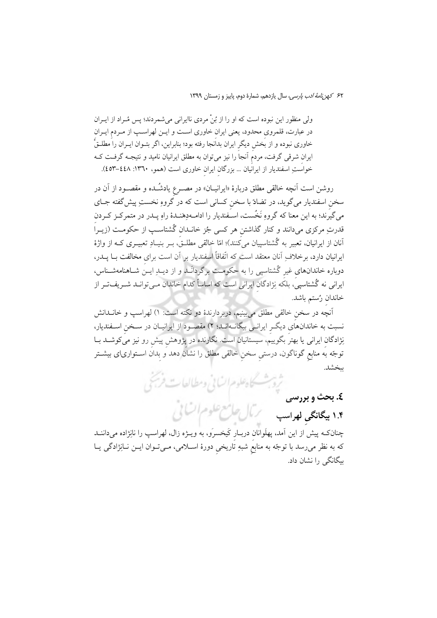ولی منظور این نبوده است که او را از بُنْ مردی ناایرانی می شمردند؛ پس مُــراد از ایــران در عبارت، قلمروی محدود، یعنی ایران خاوری است و ایـن لهراسـپ از مـردم ایـران خاوری نبوده و از بُخش دیگر ایران بداُنجا رفته بود؛ بنابراین، اگر بتــوان ایــران را ُمطلــقٌّ ایران شرقی گرفت، مردم آنجا را نیز میتوان به مطلق ایرانیان نامید و نتیجـه گرفـت کـه خواسَتِ اسفندیار از ایرانَیان … بزرگان ایران خاوری است (همو، ۱۳٦۰: ٤٤٨–٤٥٣).

روشن است آنچه خالقی مطلق دربارهٔ «ایرانیــان» در مصــرع یادشـُــده و مقصــود از آن در سخن اسفندیار میگوید، در تضادّ با سخن کسانی است که در گروهِ نخستِ پیشگفته جــای می گیرند؛ به این معنا که گروهِ نَخُست، اسـُفندیار را ادامـهدِهَنـدهٔ راهِ یـدر در متمرکـز کـردن قدرتِ مرکزی می،دانند و کنار گذاشتن هر کسی جُز خانــدان گُشتاســب از حکومــت (زیــراً آنان از ایرانیان، تعبیر به گُشتاسییان می َکنند)؛ امّا خالقی مطلـقّ، بــر بنیــادِ تعبیــری کــه از واژهٔ ایرانیان دارد، برخلافِ آنان معتقد است که اتّفاقاً اسفندیار بر آن است برای مخالفت بــا یــدر، دوباره خاندانهای غیر گُشتاسپی را به حکومت برگردانـَـد و از دیــدِ ایـــنَ شــاهنامهشــناس، ایرانی نه گُشتاسییِ، بلکه نِژادگان ایرانی است که اساساً کدام خاندان مـی توانـد شـریف-تـر از خاندان رُستم باشد.

أنچه در سخن خالقی مطلق میبینیم، دربردارندهٔ دو نکته است: ۱) لهراسب و خانــدانش نسبت به خاندانهای دیگـر ایرانـی بیگانـهانـد؛ ۲) مقصـود از ایرانیـان در سـخن اســفندیار، نِژادگان ایرانی یا بهتر بگوییم، سیستانیان است. نگارنده در پژوهش پیش رو نیز میکوشــد بــا توجّه به منابع گوناگون، درستی سخن خالقی مطلق را نشان دهد و بدان اسـتواریای بیشـتر .<br>٤. بعث و بودمسي تحقيق مسكاه علوم السائي ومطالعات فريحي

# ٤. بحث و بورىسى "<br>١.٢ بيگانگ*ې لهر*اسپ " سرال *جامع علوم إنساني*

چنانکـه پیش از این آمد، پهلَوانان دربـار کَیخسرَو، به ویـژه زال، لهراسپ را نانِژاده میداننــد که به نظر میرسد با توجّه به منابع شبهِ تاریخی دورهٔ اسـلامی، مـیتوان ایـن نـانِژادگی یـا بیگانگی را نشان داد.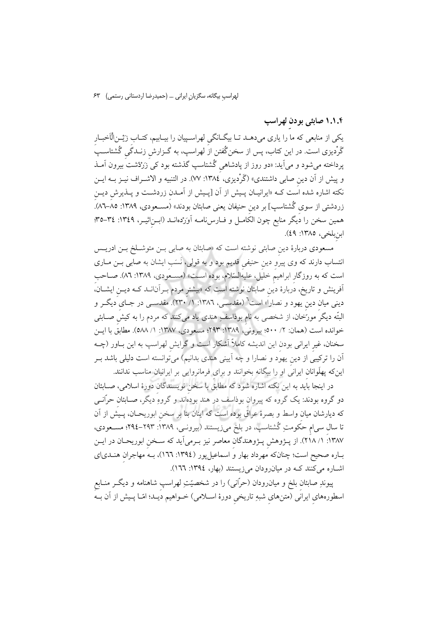### ۱.۱.۴ صابئی بودن لهراسپ

یکی از منابعی که ما را یاری میدهــد تــا بیگــانگی لهراســپیان را بیــابیم، کتــاب زَیْــنالْاَخبــار گَرْدیزی است. در این کتاب، پس از سخنگُفتن از لهراسپ، به گــزارش زنــدگی گُشتاســپُ پرداخته میشود و میآید: «دو روز از پادشاهی گُشتاسپ گذشته بود ک*ی زَرْدْشت بیرون آمـذ* و پیش از آن دین صابی داشتندی» (گَرْدیزی، ١٣٨٤: ٧٧). در التنبیه و الاشــراف نیــز بــه ایــن نکته اشاره شده است کــه «ایرانیــان پــیش از اَن [پــیش از اَمــدن زردشــت و پــذیرش دیــن زردشتی از سوی گُشتاسپ] بر دین حنیفان یعنی صابئان بودند» (َمســعودی، ۱۳۸۹: ۸۵–۸٦)َ. همین سخن را دَیگر منابع چون الکَامـل و فــارسiامــه اَوَرُدهانــد (ابــن|ثیــر، ۱۳٤۹: ۳٤–۳۵. ابنبلخي، ١٣٨٥: ٤٩).

مسعودی دربارهٔ دین صابئی نوشته است که «صابئان به صابی بــن متوشــلخ بــن ادریــس انتساب دارند که وی پیرو دین حنیفی قدیم بود و به قولی، نَسَب ایشان به صابی بــن مــاری است که به روزگار ابراهیم خلیل، علیهالسّلام، بوده اسـت» (مسـعودی، ۱۳۸۹: ۸٦). صــاحب آفرینش و تاریخ، دربارهٔ دین صابئان نوشته است که «بیشتر مردم بـراّنانــد کــه دیــن ایشــان، دینی میان دین یهود و نصاراً» است<sup>7</sup> (مقدســی، ۱۳۸٦: ۱/ ۲۳۰). مقدســی در جــای دیگــر و البتّه دیگر مورّخان، از شخصی به نام بوذاسفِ ِهندی یاد میکنند که مردم را به کیش صــابئی خوانده است (همان: ٢/ ٥٠٠؛ بيرونيَ، ١٣٨٩: ٢٩٣؛ مسعودي، ١٣٨٧: ١/ ٥٨٨). مطابقَ با ايــن سخنان، غیر ایرانی بودن این اندیشه کاملاً آشکار است و گرایش لهراسپ به این بــاور (چــه آن را ترکیبی از دین یهود و نصارا و چه آیینی هندی بدانیم) میتوانسته است دلیلی باشد بـر این که پهلوانان ایرانی او را بیگانه بخوانند و برای فرمانروایی بر ایرانیان مناسب ندانند.

در اینجا باید به این نکته اشاره شود که مطابق با سخن نویسندگان دورهٔ اسلامی، صــابئان دو گروه بودند: یک گروه که پیروان بوذاسف در هند بودهاند و گروهِ دیگر، صـابئان حرّانــی که دیارشان میان واسط و بصرهٔ عراق بوده است که اینان بنا بر سخن ابوریحـان، پـیش از آن تا سال سی|م حکومتِ گُشتاسپ، در بلخ میزیستند (بیرونــی، ۱۳۸۹: ۲۹۳–۲۹٤؛ مســعودی، ۱۳۸۷: ۱/ ۲۱۸). از پـژوهش پـژوهندگان معاصر نیز بـرمی]ید که سـخن ابوریحـان در ایــن بـاره صحيح است؛ چنانکه مهرداد بهار و اسماعيلپور (١٣٩٤: ١٦٦)، بـه مهاجران هـنـدياي اشاره میکنند کـه در میانرودان میزیستند (بهار، ۱۳۹٤: ۱٦٦).

پیوندِ صابئان بلخ و میان٫ودان (حرّانی) را در شخصیّتِ لهراسپ شاهنامه و دیگــر منــابع اسطورههای ایرانی (متنهای شبهِ تاریخی دورهٔ اسـلامی) خــواهیم دیــد؛ امّــا پــیش از آن بــه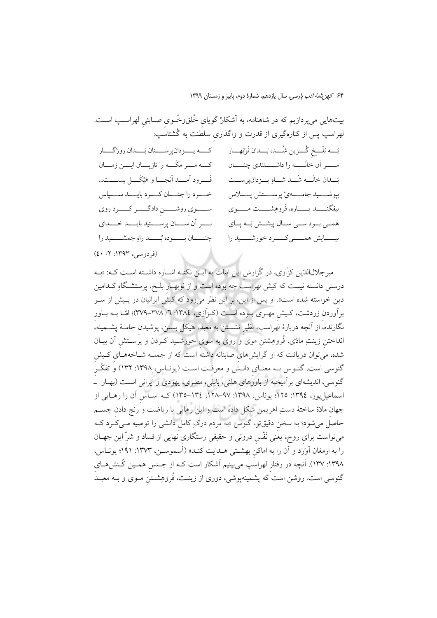بیتهایی میپردازیم که در شاهنامه، به آشکارْ گویای خُلقوفخُوی صـابئی لهراسـپ اسـت. لهراسب پس از کنارهگیری از قدرت و واگذاری سلطنت به گُشتاسَب: بَـــه بَلْـــخ گُـــزين شُـــد، بَـــدان نَوْبَهـــار كه يسزدان يرســـتان بَـــدان روز گـــار كـــه مــــر مكّـــه را تازيــــان ايــــن زمــــان مـــــــــــر آن خانَــــــــه را داشــــــــتندي چنــــــــان فُسرود اَمسـد اَنجسـا و هَيْكَــــل ببســــت... بَــدان خانَـــه شُـــد شـــاهِ يـــزدانپرســـت بپوشـــــيد جامــــــهئ پرســـــتش پــــــلاس خرد را چنان كرد بايسد سهاس بيفگنـــــــــد يـــــــــاره، فُروهِشـــــــت مـــــــوي ســــوى روشـــــن دادگــــر كــــرد روى بسو آن سسان پرسستید بایسد خسدای همــي بــود ســي ســال پيشــش بَــه پــاي جنــــــان بــــــوده بُـــــــــد راهِ جمشــــــيد را نيــــــــايش همــــــــى كــــــــرد خورشـــــــيد را  $(2 \cdot 7 \cdot 1797)$ (فردوسی)

میرجلالالدتین کزّازی، در گُزارش این ابیات به ایــن نکتــه اشــاره داشــته اســت کــه: «بــه درستی دانسته نیست که کیش لهراسب چه بوده است و از نوبهـار بلـخ، پرستشـگاهِ کــدامین دین خواسته شده است». او پُس از این، بر این نظر می رود که کیش ایرانیان در پـیش از ســر برآوردن زردشت، کـیش مهـری بـوده اسـت (کـزّازی، ١٣٨٤: ٦/ ٣٧٨-٣٧٩)؛ امّـا بــه بــاور نگارنده،َ از اَنچه دربارهٔ لَهراسب، نظیر نشستن به معبد، هَیکل بستن، پوشیدن جامــهٔ پشــمینه،َ انداختن زینتِ مادّی، فُروهِشتن موی و روی به سوی خورشـید کـردن و پرسـتش آن بیـان شده، میتوان دریافت که او گرایش های صابئانه داشته است که از جملـه شــاخههــای کـیش گنوسی است. گنــوس بــه معنــای دانــشّ و معرفــت اســت (یونــاس، ۱۳۹۸: ۱۳۲) وَ تفکّــرَ گنوسی، اندیشهای برآمیخته از باورهای هلنی، بابلی، مصری، یهودی و ایرانی است (بهـار ــ اسماعیل پور، ١٣٩٤: ١٢٥؛ یوناس، ١٣٩٨: ٩٧-١٢٨، ١٣٤–١٣٥) کـه اسـاس آن را رهـایی از جهان مادّة ساختهٔ دستِ اهریمن شکل داده است و این رهایی با ریاضت و رنج دادن جســم حاصل میشود؛ به سخن دقیقتر، گنوس «به مردم درکِ کامل دانشی را توصیه مــیکـُرد کــه میتواست برای روح، یعنی نَفْس درونی و حقیقی رستگاری نهایی از فساد و شرّ این جهـان را به ارمغان آوَرَد و آن را به اماکن بهشــتی هــدایت کنــد» (اَسموســن، ۱۳۷۳: ۱۹۱؛ یونــاس، ۱۳۹۸: ۱۳۷). آنچه در رفتار لهراسَپ میبینیم اَشکار است کـه از جـنس همـین کُـنش۵حـای گنوسی است. روشن است که پشمینهپوشی، دوری از زینـت، فُروهِشـتن مـوی و بــه معبــد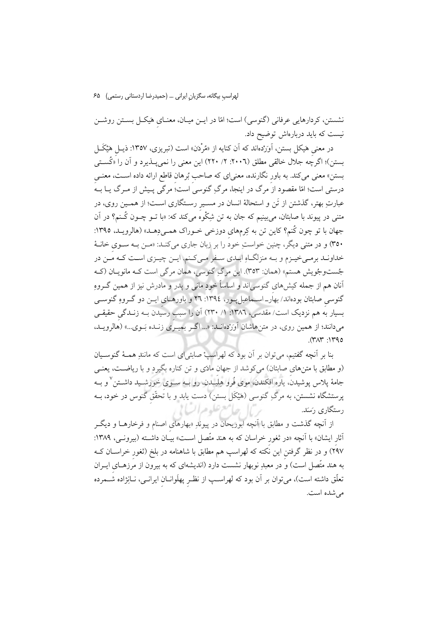نشستن، کردارهایی عرفانی (گنوسی) است؛ امّا در ایــن میــان، معنــای هَیکــل بســتن روشــن نیست که باید دربارهاش توضیح داد.

در معنی هَیکل بستن، اَوَرْدْهاند که اَن کنایه از «مُرْدَن» است (تبریزی، ۱۳۵۷: ذیـل هَیْکَـل بستن)؛ اگرچه جلال خالقی مطلق (۲۰۰٦: ۲/ ۲۲۰) این معنی را نمیپــذیرد و آن را ً«کُســتی بستن» معنی میکند. به باور نگارنده، معنیای که صاحب بُرهان قاطع ارائه داده اسـت، معنــی درستی است؛ امّا مقصود از مرگ در اینجا، مرگِ گنوسی است؛ مرگی پیش از مـرگ پــا بــه عبارتِ بهتر، گذشتن از تَن و استحالهٔ انسان در مسـير رسـتگاري اسـت؛ از همـين روي، در متنی در پیوند با صابئان، می,بینیم که جان به تن شِکْوه<sup>َ</sup> میکند که: «با تــو چــون کُــنم؟ در اَن جهان با تو چون کُنم؟ کاین تن به کِرِمهای دوزخی خـوراک همـی(هـد» (هالرویـد، ١٣٩٥: ۳۵۰) و در متنی دیگر، چنین خواستِ خود را بر زبان جاری میکند: «مـن بـه سـوی خانـهٔ خداونـد برمـيخيـزم و بــه منزلگــاهِ ابــدي ســفر مــيكـنم. ايــن چيــزي اســت كــه مــن در جُستوجُويش هستم» (همان: ٣٥٣). اين مرگِ گنوسي، همان مرگي است كـه مانويـان (كـه آنان هم از جمله کیشهای گنوسی<mark>اند و اساساً خودِ مانی و پدر و مادرش نیز از همین گـرو</mark>وِ گنوسی صابئان بودهاند/ بهار\_اســماعیلپــور، ١٣٩٤: ٢٦ و باورهــای ایــن دو گــروهِ گنوســی بسیار به هم نزدیک است/ مقدسی، ۱۳۸٦: ۱/ ۲۳۰) آن را سبب رسیدن بـه زنـدگی حقیقـی میدانند؛ از همین روی، در متنهاشان آوَرْدهانــد: «... اگــر بمیــرَی زنــده بَــوی...» (هالرویــد،  $(1717.11790$ 

بنا بر آنچه گفتیم، می توان بر آن بود که لهراستْ صابئی ای است که مانندِ همـهٔ گنوسـیان (و مطابق با متنهای صابئان) میکوشد از جهان مادّی و تن کناره بگیرد و با ریاضت، یعنبی جامهٔ پلاس پوشیدن، یاره افکندن، موی فُرو هِلیــدن، رو بــه ســوی خورشــید داشــتن<sup>۷</sup>و بــه پرستشگاه نشستن، به مرگِ گنوسی (هَیْکَل بستن) دست یابد و با تحقّق گنوس در خود، بــه ربال جامع علوم السابي رستگاری رَسَد.

از آنچه گذشت و مطابق با آنچه ابوریحان در پیوندِ «بهارهای اصنام و فرخارهــا و دیگــر آثار ایشان» با آنچه «در ثغور خراسان که به هند متّصل است» بیـان داشـته (بیرونـی، ۱۳۸۹: ۲۹۷) و در نظر گرفتن این نَکته که لهراسپ هم مطابق با شاهنامه در بلخ (ثغور خراســان کــه به هند متَّصل است) و در معبدِ نوبهار نشست دارد (اندیشهای که به بیرون از مَرزهـای ایــران تعلُّق داشته است)، میتوان بر آن بود که لهراسـپ از نظـر پهلَوانــان ایرانــی، نــانِژاده شــمرده می شده است.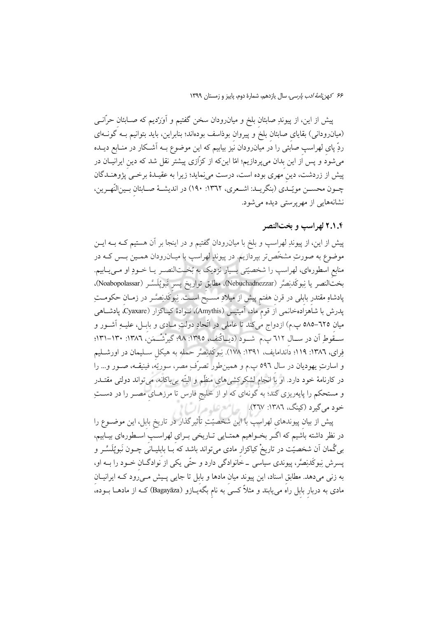پیش از این، از پیوندِ صابئان بلخ و میانرودان سخن گفتیم و اَوَرْدیم که صــابئان حرّانــی (میان رودانی) بقایای صابئان بلخ و پیروان بوذاسف بودهاند؛ بنابراین، باید بتوانیم بــه گونــهای ردِّ پای لهراسپ صابئی را در میان٫ودان نیز بیابیم که این موضوع بــه آشــکار در منــابع دیــده میشود و پس از این بدان میپردازیم؛ امّا اینکه از کزّازی پیشتر نقل شد که دین ایرانیـان در پیش از زردشت، دین مهری بوده است، درست می ِنماید؛ زیرا به عقیـدهٔ برخــی پژوهنــدگان چــون محســن مويّــدي (بنگريــد: اشــعري، ١٣٦٢: ١٩٠) در انديشــهٔ صــابئان بــينالنّهــرين، نشانههایی از مهریرستی دیده می شود.

### ۲.۱.۴ لهراسب و بختالنصر

پیش از این، از پیوندِ لهراسپ و بلخ با میانرودان گفتیم و در اینجا بر آن هستیم کـه بــه ایــن موضوع به صورتِ مشخّص تر بپردازیم. در پیونلوِ لهراسپ با میـان٫ودان همـین بـس کـه در منابع اسطورهای، لهراسپ را شخصیّتی بسیار نزدیک به بُخـتالنصـر یـا خــودِ او مــییــابیم. بختالنصر يا نِبوكَدنِصَّر (Nebuchadnezzar)، مطابق تواريخ پسر نَبوپُلَسَّـر (Noabopolassar)، پادشاهِ مقتدر بابلی در قرن هفتم پیش از میلادِ مسـیح اسـت. نِبوَکَدنِصَـّـر در زمــان حکومــتِ پدرش با شاهزادهخانمی از قوم ماد، آمیتیس (Amythis)، نــوادهٔ کیــاکزار (Cyaxare، پادشــاهـی میان ٦٢٥–٥٨٥ پ.م) ازدواج میکند تا عاملی در اتّحادِ دولتِ مـادی و بابـل، علیــهِ اَشــور و ســـقَوطِ اَن در ســـال ٦١٢ پ.م شـــود (ديـــاكُنف، ١٣٩٥: ٩٨؛ گيرْشْـــمَنَ، ١٣٨٦: ١٣٠-١٣١؛ فِرای، ۱۳۸٦: ۱۹!؛ داندامایف، ۱۳۹۱: ۱۷۸). نِبوکَدنِصَّر حمله به هیکل سـلیمان در اورشـلیم و اسارتِ يهوديان در سال ٥٩٦ پ.م و همينطور تصرّفِ مصر، سوريّه، فينيقـه، صــور و... را در کارنامهٔ خود دارد. او با انجام لشکرکشیهای منظّم و البتّه بیباکانه، میتواند دولتی مقتــدر و مستحکم را پایهریزی کند؛ به گونهای که او از خلیج فارس تا مرزهـای مصــر را در دســـتِ خود میگیرد (کینگ، ۱۳۸۲: ۲۳۷). <sub>حا</sub>ضع علم مراک

پیش از بیان پیوندهای لهراسپ با این شخصیّتِ تأثیرگذار در تاریخ بابل، این موضـوع را در نظر داشته باَشیم که اگـر بخــواهیم همتــایی تــاریخی بــرای لهراســپ اســطورهای بیــابیم، بی گُمان اَن شخصیّت در تاریخْ کیاکزار مادی میتواند باشد که بـا بابلیــانی چــون نَبوپُلَسَّــر و پسرش نِبوکَدنِصَّر، پیوندی سیاسی ــ خانوادگی دارد و حتّی یکی از نوادگــان خــود را بــه او، به زنی میدهد. مطابق اسناد، این پیوند میان مادها و بابل تا جایی پـیش مـیرود کـه ایرانیــان مادی به دربار بابل راه میbیابند و مثلاً کسی به نام بگهیــازو (Bagayāza) کــه از مادهــا بــوده،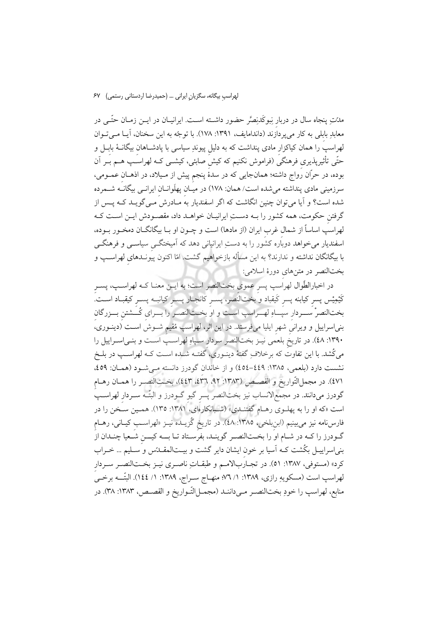مدّتِ پنجاه سال در دربار نِبوکَدنِصَر حضور داشــته اســت. ایرانیــان در ایــن زمــان حتّــی در معابدِ بابلی به کار میپردازند (داندامایف، ۱۳۹۱: ۱۷۸). با توجّه به این سخنان، آیــا مــیتــوان لهراسپَ را همان کیاکزار مادی پنداشت که به دلیل پیوندِ سیاسی با پادشــاهان بیگانــهٔ بابــل و حتّٰی تأثیرپذیری فرهنگی (فراموش نکنیم که کیش صابئی، کیشــی کــه لهراســپ هــم بــر اَن بوده، در حرّان رواج داشته؛ همانجایی که در سدهٔ پنجم پیش از مـیلاد، در اذهــان عمــومی، سرزمینی مادی پنداشته میشده است/ همان: ۱۷۸) در میـان پهلَوانـان ایرانـی بیگانــه شــمرده شده است؟ و آیا می توان چنین انگاشت که اگر اسفندیار به مـادرش مـیگویـد کـه پـس از گرفتن حکومت، همه کشور را بــه دســتِ ايرانيــان خواهــد داد، مقصــودش ايــن اســت کــه لهراسپ اساساً از شمال غرب ایران (از مادها) است و چــون او بــا بیگانگــان دمخــور بــوده، اسفندیار میخواهد دوباره کشور را به دستِ ایرانیانی دهد که آمیختگـی سیاسـی و فرهنگـی با بیگانگان نداشته و ندارند؟ به این مسأله بازخواهیم گشت. امّا اکنون پیونـدهای لهراســپ و بختالنصر در متنهای دورهٔ اسلامی:

در اخبارالطّوال لهراُسپ پسر عموی بختالنصر است؛ به ایــن معنــا کــه لهراســپ، پســرِ كَيْمِيْس پسر كيابنه پسر كَيقباد و بختالنصر، پسـر كانجـار پسـر كيانبــه پســر كيقبــاد اســت. بختالنصرْ ســـردار سپـــاهِ لهــــراسپ اســت و او بخــتالنصــر را بـــرای کُـــشتن بـــزرگان بنیاسراییل و ویرانی شهر ایلیا میفرستد. در این اثر، لهراسپ مُقیم شــوش اســت (دینــوری، ۱۳۹۰: ٤٨). در تاریخ بلعمی نیـز بختالنصر سردار سـپاهِ لهراسـپ اسـت و بنـی|ســراییل را می کُشد. با این تفاوت که برخلاف ِگفتهٔ دینـوری، گفتـه شـلده اسـت کـه لهراسـپ در بلـخ نشست دارد (بلعمي، ١٣٨٥: ٤٥٤-٤٥٤) و از خاندان گودرز دانسته مـيشـود (همـان: ٤٥٩، ٤٧١). در مجمل|لتّواريخ و القصـص (١٣٨٣: ٩٢، ٤٣٦، ٤٤٣)، بخـتالنصـر را همـان رهــام گودرز میدانند. در مجمع|لانساب نیز بخت|لنصر پسر گیو گـودرز و البتّــه ســردار لهراســپّ است «که او را به پهلــوی رهــام گفتنــدی» (شــبانکارهای، ١٣٨١: ١٣٥). همــين ســَخن را در فارسiامه نیز میبینیم (ابن<sub>ن</sub>بلخی، ۱۳۸۵: ٤٨). در تاریخ گُزیــده نیــز «لهراســبِ کیــانی، رهــامِ گـودرز را كـه در شـام او را بخـتالنصـر گوينـد، بفرسـتاد تـا بـــه كيـــن شــعيا چنـدان از بنی|سراییـل بکُشت کـه اَسیا بر خون ایشان دایر گشت و بیــتالمقــدّس و َســلیم … خــراب كرد» (مستوفى، ١٣٨٧: ٥١). در تجـاربالامـم و طبقـاتِ ناصـرى نيـز بخـتالنصـر سـردار لهراسپ است (مسکويهِ رازي، ١٣٨٩: ١/ ٧٦؛ منهــاج ســراج، ١٣٨٩: ١/ ١٤٤). البتّـــه برخــي منابع، لهراسپ را خودِ بختالنصـر مـىداننـد (مجمـلالتّـواريخ و القصـص، ١٣٨٣: ٣٨). در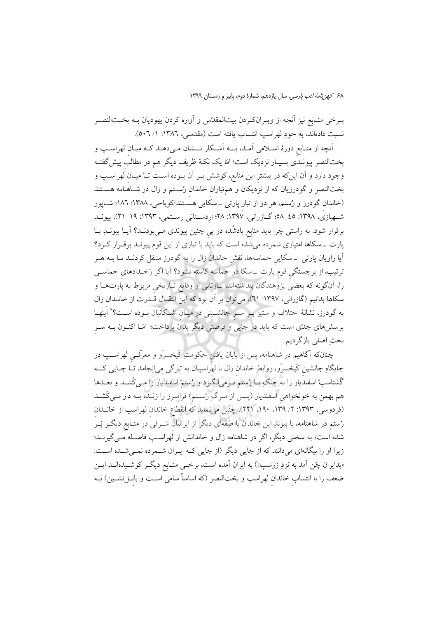بـرخی منـابع نیز آنچه از ویـرانکـردن بیتالمقدّس و آواره کردن یهودیان بــه بخــتالنصـر نسبت دادهاند، به خودِ لهراسپ انتسابَ یافته است (مقدسی، ۱۳۸۲: ۰/ ۵۰۲).

آنچه از منـابع دورهٔ اسـلامی اَمـد، بـــه اَشـكار نـــشان مــیدهــد كــه ميـان لهراســب و بختالنصر پیونـدُی بسیـار نزدیک است؛ امّا یک نکتهٔ ظریف ِ دیگر هم در مطالب پیش گفتــه وجود دارد و آن اینکه در بیشترِ این منابع، کوشش بــر آن بــوده اســت تــا میــان لَهراســپ و بختالنصر و گودرزیان که از نزدیکان و همتباران خاندان رُســتم و زال در شــاهنامه هســتند (خاندان گودرز و رُستم، هر دو از تبار پارتی \_سکایی هستند/کویاجی، ۱۳۸۸: ۱۸٦؛ شـاپور شــهبازیَ، ۱۳۹۸: ٤٥–۵۸؛ گــازرانی، ۱۳۹۷: ۲۸؛ اردســتانی رســتمی، ۱۳۹۳: ۱۹–۲۱)، پیونــد برقرار شود. به راستی چرا باید منابع یادشُده در پی چنین پیوندی مـیبودنـد؟ آیــا پیونــدِ بــا یارت \_سکاها امتیازی شمرده می شده است که باید با تباری از این قوم پیونـد برقـرار کـرد؟ آیا راویان پارتی \_سکایی حماسهها، نقش خاندان زال را به گودرز منتقل کردنــد تــا بــه هــر ترتیب، از برجستگی قوم پارت \_سکا در حماسه کاسته نشود؟ آیا اگر رُخـدادهای حماسـی را، آنگونه که بعضی پژوهندگان پنداشتهاند، بـازتابی از وقایع تـاریخی مربوط به پارتهـا و سکاها بدانیم (گازرانی، ۱۳۹۷: ۳۱)، میتوان بر آن بود که این انتقــال قــدرت از خانــدان زال به گودرز، نشانهٔ اختلاف و ستیز بـر سـر جانشـینی در میـان اشـکانیان بـوده اسـت؟<sup>^</sup> آینهـا پرسشهای جدّی است که باید در جایی و فرصتی دیگر بدان پرداخت؛ امّــا اکنــون بــه ســر بحثِ اصلى بازگرديم.

چنانکه آگاهیم در شاهنامه، پس از پایان یافتن حکومتِ کَیخسرَو و معرّفـی لهراســپ در جایگاهِ جانشین کَیخسرِو، روابطِ خاندان زال با لهراسپیان به تیرگی می|نجامد تـَا جـایی کـــه گُشتاسپْ اسفنديار را به جنگِ بــا رُستم بــرمي|نگيزد و رُستمْ اسفنديار را مــي كُشــد و بعــدها هم بهمن به خونخواهي اسفنديار (پـس از مـرگِ رُسـتم) فرامـرز را زنـده بـه دار مـيكَشـد (فردوسی، ۱۳۹۳: ۲/ ۱۳۹، ۱۹۰، ۲۲۱). چنین می نماید که انقطاع خاندان لهراسپ از خاندان رستم در شاهنامه، با پیوندِ این خاندان با طبقهای دیگر از ایرانیان شــرقی در منــابع دیگــر پُــر شده است؛ به سخنی دیگر، اگر در شاهنامه زال و خاندانش از لهراسب فاصـله مـی گیرنـد؛ زیرا او را بیگانهای میدانند که از جایی دیگر (از جایی کـه ایــران شــمرده نمــیشــده اســت: «بَدایران چُن اَمد بَه نزدِ زرَسپ») به ایران اَمده است، برخــی منــابع دیگــر کوشــیدهانــد ایــن ضعف را با انتساب خاندان لهراسپ و بختالنصر (که اساساً سامی اســت و بابــل.نشــین) بــه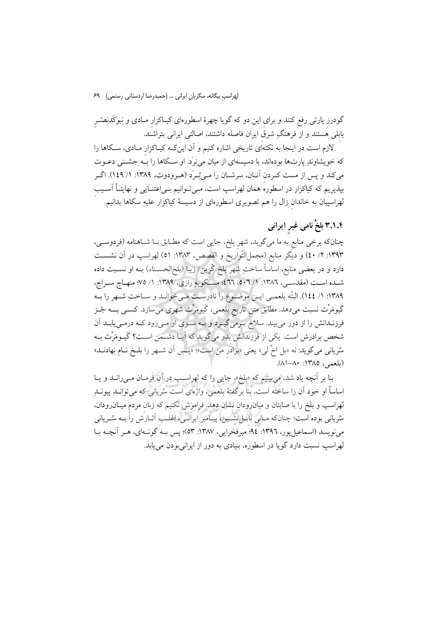گودرز پارتی رفع کنند و برای این دو که گویا چهرهٔ اسطورهای کیـاکزار مــادی و نِبوکَدنِصـّـر بابلی هستند و از فرهنگ ِشرقُ ایران فاصله داشتند، اصالتی ایرانی بتراشند.

لازم است در اینجا به نکتهای تاریخی اشاره کنیم و آن این کـه کیـاکزار مـادی، سـکاها را که خویشاوندِ پارتها بودهاند، با دسیسهای از میان میبَرَد. او سـکاها را بــه جشــنی دعــوت میکند و پس از مست کـردن آنــان، سرشــان را مــی بُــرَد (هــرودوت، ۱۳۸۹: ۱/ ۱٤۹). اگــر بپذیریم که کیاکزار در اسطوره همان لهراسپ است، مـیتـوانیم بـی|عتنـایی و نهایتـاً آسـیب لهراسپیان به خاندان زال را هم تصویری اسطورهای از دسیسهٔ کیاکزار علیهِ سکاها بدانیم.

## **۳.۱.۴ بلخْ نامی غیر ایرانی**

چنانکه برخی منابع به ما میگوید، شهر بلخ، جایی است که مطـابق بـا شـاهنامه (فردوسـی، ۱۳۹۳: ۲/ ٤٠) و ديگر منابع (مجمل|لتَّواريخ و القصص، ۱۳۸۳: ٥١) لهراسب در آن نشســت دارد و در بعضی منابع، اساساً ساختِ شهر بلخ گُزین/ زیبا (بلخ|لحســناء) بــه او نســبت داده شـده اسـت (مقدسـي، ١٣٨٦: ٠١٣٨١، ٥٠٦)؛ مسـكويهِ رازي، ١٣٨٩: ١/ ٧٥؛ منهـاج ســراج، ١٣٨٩: ١/ ١٤٤). البتّه بلعمـي ايـن موضـوع را نادرسـت مـي خوانَـد و سـاختِ شـهر را بـه گَيومَرْث نسبت مىدهد. مطابق متن تاريخ بلعمى، گَيومَرْث شهرى مىسازد. كســى بــــه جُــز فرزنــدانش را از دور می¤یند. سلاح بــرمیگیــرد و بــه ســوی او مــیرود کــه درمــیLیابــد آن شخص برادرش است. یکی از فرزندانش بدو میگوید که آیــاً دشــمن اســت؟ گَیــومَرْث بــه سُریانی میگوید: نه «بل اخٌ لی» یعنی «برادر من است»؛ «پــس اَن شــهر را بلــخ نــام نِهادنــد» (بلعمى، ١٣٨٥: ٨٠-٨١).

بنا بر آنچه یاد شد، می بینیم که «بلخ»، جایی را که لهراسب در آن فرمـان مـیرانــد و یـا اساساً او خود آن را ساخته است، بنا برگفتهٔ بلعمی، واژهای است سُریانی که می توانــد پیونــدِ لهراسب و بلخ را با صابئان و میان رودان نشان دهد. فراموش نکنیم که زبان مردم میـان رودان، سُرياني بوده است؛ چنانکه مـاني بابــلنشــين، پيــامبر ايرانــي، اغلــب آثــارش را بــه سُــرياني مي نويسد (اسماعيل پور، ١٣٩٦: ٩٤، ميرفخرايي، ١٣٨٧: ٥٣)؛ پس بــه گونــهاي، هــر أنچــه بــا لهراست نسبت دارد گو یا در اسطوره، بنیادی به دور از ایرانی بودن می باید.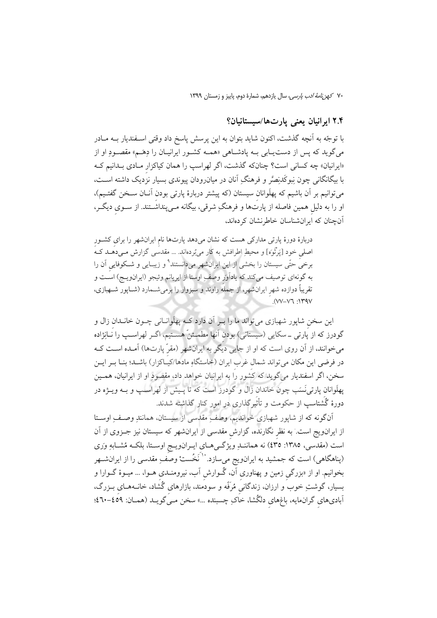۷۰ *کهن نامهٔ ادب پارسی،* سال یازدهم، شمارهٔ دوم، پاییز و زمستان ۱۳۹۹

### ۲.۴ ایرانیان یعنی یارتها/سیستانیان؟

با توجّه به اَنچه گذشت، اکنون شاید بتوان به این پرسش پاسخ داد وقتی اسـفندیار بــه مــادر میگوید که پس از دستیـابی بــه پادشـاهی «همــه کشـور ایرانیــان را دِهَــم» مقصـودِ او از «ایرانیان» چه کسانی است؟ چنانکه گذشت، اگر لهراسب را همان کیاکزار مـادی بـدانیم کـه با بیگانگانی چون نِبوکَدِنِصَّر و فرهنگِ آنان در میان(ودان پیوندی بسیار نزدیک داشته اسـت، میتوانیم بر آن باشیم که پهلَوانان سیستان (که پیشتر دربارهٔ پارتی بودن آنـان سـخن گفتـیم)، او را به دلیل همین فاصله از پارتها و فرهنگِ شرقی، بیگانه مـی پنداشـتند. از سـوی دیگـر، آن چنان که ایران شناسان خاطرنشان کر دهاند،

دربارهٔ دورهٔ پارتی مدارکی هست که نشان میدهد پارتها نام ایرانشهر را برای کشور اصلی خود [پَرْتُوَه] و محیطِ اطرافش به کار می بُردهاند. … مقدسی گزارش مـیدهَــد کــهُ برخیَ حتّی سیستان را بخشی از این ایرانشهر میدانستند° و زیبـایی و شـکوفایی آن را به گونهای توصیف میکند که یادآوَر وصفِ اوستا از ایریانم وئیجو (ایرانویـج) اسـت و تقریباً دوازده شهر ایرانشهر، از جمله راوند و سبزوار را برمیشـمارد (شـاپور شـهبازی،  $VY-VY:YYY$ 

این سخن شاپور شهبازی می تواند ما را بـر آن دارد کـه پهلَوانــانی چــون خانــدان زال و گودرز که از پَارتی \_ سکایی (سیستانی) بودن اَنها مطمـئنّ هسـتیم، اگـر لهراسـب را نَــانژاده میخوانند، از آن روی است که او از جایی دیگر به ایرانشهر (مقرّ پارتها) آمـده اسـت کــه در فرضی این مکان می تواند شمال غرب ایران (خاستگاهِ مادها/کیاکزار) باشـد؛ بنـا بـر ایــن سخن، اگر اسفندیار می گوید که کُشور را به ایرانیان خواهد داد، مقصود او از ایرانیان، همـین پهلوانان پارتی نَسَب چون خاندان زال و گودرز است که تا پـیش از لهراســپ و بــه ویــژه در دورهٔ گُشتاسب از حکومت و تأثیرگذاری در امور کنار گذاشته شدند.

۔<br>آنگونه که از شاپور شهبازی خواندیم، وصفِ مقدسی از سیستان، همانندِ وصـفِ اوســتا از ایرانویج است. به نظر نگارنده، گزارش مقدسی از ایرانشهر که سیستان نیز جــزوی از آن است (مقدسی، ۱۳۸۵: ۲۳۵) نه همانندِ ویژگیههای ایـرانویـج اوسـتا، بلکـه مُشـابهِ وَری (پناهگاهی) است که جمشید به ایرانویج میسازد.``نَخُستْ وصُفِ مقدسی را از ایرانشـهر بخوانیم. او از «بزرگی زمین و پهناوری آن، گُــوارش آب، نیرومنــدی هــوا، … میــوهٔ گــوارا و بسیار، گوشتِ خوب و ارزان، زندگانی مُرَفّه و سودمند، بازارهای گُشاد، خانـههـای بــزرگ، اَبادیهای گرانهایه، باغهای دلگُشا، خاَکِ چسبنده …» سخن مــیگویــد (همــان: ٤٥٩–٤٦٠؛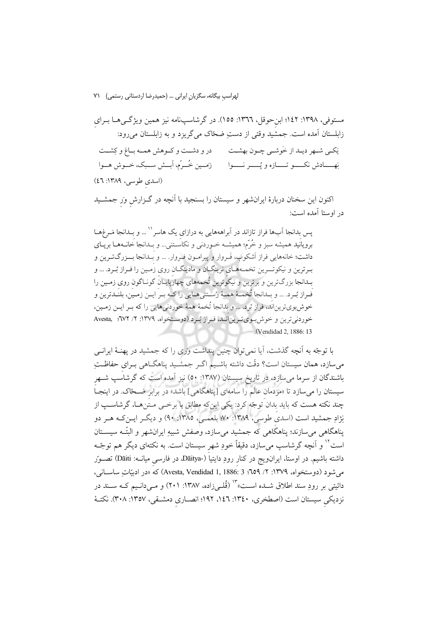مستوفی، ۱۳۹۸: ۱٤۲؛ ابن حوقل، ۱۳٦٦: ۱۵۵). در گرشاسپنامه نیز همین ویژگیها بـرای زابلستان آمده است. جمشید وقتی از دست ضحّاک می گریزد و به زابلستان می رود: يَكم شمهر ديـداز خَوشـي چـون بهشـت در و دشـت و كــوهش همــه بــاغ و كِشــت نِهِـــادش نكــــو تـــــازه و يُـــــر نـــــوا من نصين خُــرّم، آبــش ســبك، خــوش هــوا (اسدى طوسى، ١٣٨٩: ٤٦) اکنون این سخنان دربارهٔ ایرانشهر و سیستان را بسنجید با آنچه در گـزارش وَر جمشـید در اوستا آمده است:

پس بدانجا آبها فراز تازاند در آبراهههایی به درازای یک هاسر `` ... و بـدانجا مَـرغهــا برويانيد هميشه سبز و خُرَّم؛ هميشــه خــوردني و نكاسـتني... و بــدانجا خانــههــا بريــاي داشت؛ خانههایی فراز اَشکوب، فَــروار و پیرامــون فــروار. … و بَــدانجا بـــزرگ<code>تــرین و</code> بـرترین و نیکوتــرین تخمــههـای نرینگــان و مادینگــان روی زمـین را فــراز بُـرد. ... و بـدانجا بزرگترین و برترین و نیکوترین تُخمههای چهارپایـان گونـاگون روی زمـین را فَـراز بُـرد. … و بـدانجا تُخمـهٔ همـهٔ رُسـتنيهـاييّ را كـه بـر ايـن زمـين، بلنـدترين و خوش بویترین اند، فراز بُرد. … و بدانجا تُخمهٔ همهٔ خوردنیهایی را که بـر ایــن زمـین، خوردنی ترین و خوش بوی ترین اند، فراز بُرد (دوستخواه، ١٣٧٩: ٢/ ٦٧٢. Avesta, . ٢٧٢ Vendidad 2, 1886: 13

با توجّه به آنچه گذشت، آیا نمی توان چنین پنداشت وَری را که جمشید در یهنـهٔ ایرانــی می سازد، همان سیستان است؟ دقّت داشته باشـیم اگـر جمشـید پناهگـاهی بـرای حفاظـتِ باشندگان از سرما می سازد، در تاریخ سیستان (۱۳۸۷: ۵۰) نیز آمده است که گرشاسپ شـهر سیستان را می سازد تا «مردمان عالَم را سامهای [پناهگاهی] باشد» در برابر ضـحـتاک. در اینجــاً چند نکته هست که باید بدان توجّه کرد: یکی اینکه مطابق با برخـی مـتن۵مـا، گرشاســپ از نِژادِ جمشید است (اسدی طوسی، ۱۳۸۹: ۷۰؛ بلعمـی، ۱۳۸۵: ۹۰) و دیگـر ایــن کـه هــر دو پناهگاهی میسازند؛ پناهگاهی که جمشید میسازد، وصفش شبیهِ ایرانشهر و البتّــه سیســتان است<sup>۱۲</sup> و آنچه گرشاسپ میسازد، دقیقاً خودِ شهر سیستان است. به نکتهای دیگر هم توجّـه داشته باشیم. در اوستا، ایرانویج در کنار رودِ دایتیا (-Dāitya، در فارسی میانـه: Dāiti) تصـور مي شود (دوستخواه، ١٣٧٩: ٢/ ٦٥٩: 3 :1886: Avesta, Vendidad 1, 1886: 3 أردر ادبيّات ساســاني، دائیتی بر رودِ سند اطلاق شــده اســت» ٔ (قُلــیi۳۸۷ ، ۱۳۸۷: ۲۰۱) و مــی۱دانــیم کــه ســند در نزدیکی سیستان است (اصطخری، ۱۳٤۰: ۱٤٦، ۱۹۲؛ انصـاری دمشـقی، ۱۳۵۷: ۳۰۸). نکتـهٔ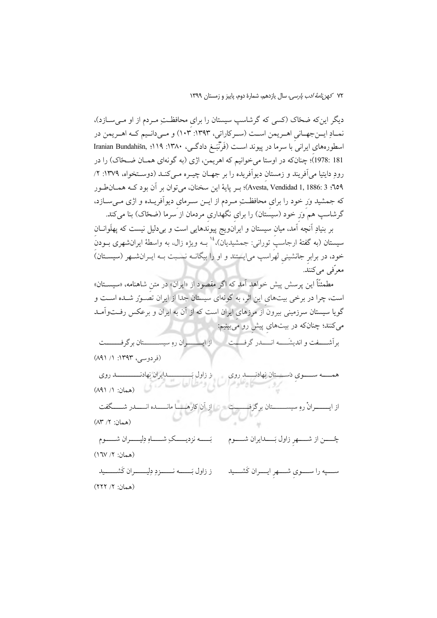دیگر اینکه ضخاک (کسی که گرشاسپ سیستان را برای محافظـتِ مـردم از او مـیسـازد)، نمـادِ ايــنجهـاني اهــريمن اســت (ســركاراتي، ١٣٩٣: ١٠٣) و مــيدانـيم كــه اهــريمن در اسطورههای ایرانی با سرما در پیوند اسـت (فَرْنْبَـغ دادگـی، ۱۳۸۰: ۱۳۸۹: Iranian Bundahišn, ۱۱۹ 181 :1978)؛ چنانکه در اوستا می خوانیم که اهریمن، اژی (به گونهای همـان ضـحتاک) را در رودِ دايتيا مي آفريند و زمستان ديواًفريده را بر جهـان چيــره مــي كنــد (دوســتخواه، ١٣٧٩: ٢/ ٬ T09 (Avesta, Vendidad 1, 1886: 3)؛ بـر پايهٔ اين سخنان، مي توان بر آن بود كـه همـانطـور که جمشید ور خود را برای محافظـتِ مـردم از ایـن سـرمای دیواّفریـده و اژی مـیسـازد، گرشاسپ هم وَر خود (سیستان) را برای نگهداری مردمان از سرما (ضحاک) بنا میکند.

بر بنیادِ آنچه آمد، میان سیستان و ایرانویج پیوندهایی است و بی دلیل نیست که پهلَوانــان سیستان (به گفتهٔ ارجاسپ تورانی: جمشیدیان)، ٔا بـه ویژه زال، به واسطهٔ ایرانشهری بــودنُ خود، در برابر جانشینی لهراسپ می[یستند و او را بیگانــه نســبت بــه ایــرانشــهر (سیســتان) معرّفي مي كنند.

مطمئناً این پرسش پیش خواهد آمد که اگر مقصود از «ایران» در متن شاهنامه، «سیســتان» است، چرا در برخی بیتهای این اثر، به گونهای سیستان جدا از ایران تصـور شـده اسـت و گویا سیستان سرزمینی بیرون از مرزهای ایران است که از آن به ایران و برعکس رفــتواَمــد میکنند؛ چنانکه در بیتهای پیش رو میبینیم:

برآشـــفت و اندیشَـــه انــــدر گرفــــت می از ایــــــــران رهِ سیســــــتان برگرفــــــت (فردوسی، ۱۳۹۳: ۱/ ۸۹۱)

همـــــه ســــــوي دَســــــتان نِهادنــــــد روى ز زاول بَـــــــــــــدايران نِهادنـــــــــــــد روى<br>(همان: ۱/ ۸۹۱)

(همان: ١/ ٨٣)

چُــــــن از شــــــهر زاول بَـــــدايران شــــــوم مـــــ بَـــــــه نزديــــــكِ شـــــــاو دِليــــــران شــــــوم (همان: ٢/ ١٦٧)

ســـــپه را ســــوي شـــــهر ايــــران كَشــــيد ز زاول بَـــــــه نــــــزدِ دِليـــــــران كَشــــــيد (همان: ٢/ ٢٢٢)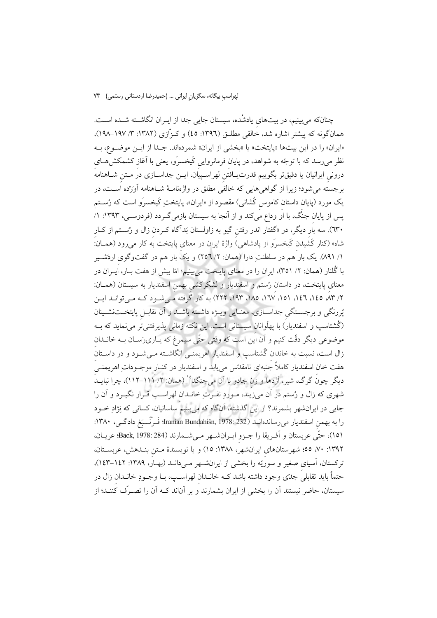چنانکه می بینیم، در بیتهای یادشُده، سیستان جایی جدا از ایـران انگاشـته شـده اسـت. همانگونه که پیشتر اشاره شد، خالقی مطلـق (١٣٩٦: ٤٥) و کـزَّازی (١٣٨٢: ٣/ ١٩٧–١٩٨). «ايران» را در اين بيتها «پايتخت» يا «بخشى از ايران» شمردهاند. جلدا از ايـن موضـوع، بـه نظر میرسد که با توجّه به شواهد، در پایان فرمانروایی کَیخسرَو، یعنی با اَغاز کشمکشهــای درونی ایرانیان یا دقیقتر بگوییم قدرت بـافتَن لهراسـپیَان، ایــن جداســازی درَ مــتن شــاهنامهَ برجسته می شود؛ زیرا از گواهیهایی که خالقی مطلق در واژمنامـهٔ شـاهنامه آورَده اسـت، در یک مورد (پایان داستان کاموس گُشان<sub>ی</sub>) مقصود از «ایران»، پایتختِ کَیخسرَو است که رُسـتم پس از پایان جنگ، با او وداع میکند و از آنجا به سیستان بازمیگـردد (فردوســی، ۱۳۹۳: ۱/ **۱۳۰**). سه بار دیگر، در «گفتار اندر رفتن گیو به زاولستان بَداگاه کـردن زال و رُســتم از کــار شاه» (کنار کَشَیدن کَیخسرَو از پادشاهی) واژهٔ ایران در معنای پایتخت به کار می رود (همــان: ۱/ ۸۹۱). یک بار هم در سلطنتِ دارا (همان: ۲/ ۲۵٦) و یک بار هم در گفتوگوی اردشمیر با گُلنار (همان: ۲/ ۳۵۱)، ایران را در معنای پایتخت میبینیم؛ امّا بیش از هفت بــار، اَیــران در معنای پایتخت، در داستان رُستم و اسفندیار و لشکرکشی بهمن اسفندیار به سیستان (همـان: ۲/ ۸۳ م ۱۵، ۱٤٦، ۱٥۱، ۱٦٧، ۱۸۵، ۱۹۳، ۲۲۲) به کار گُرفته مَـیشـود کـه مـیتوانــد ایــن پُررنگی و برجسـتگی جداســازی، معنــایی ویــژه داشــته باشــد و آن تقابــل پایتخـــتـنشــینان (گُشتاسپ و اسفندیار) با پهلَوانان سیستانی است. این نکته زمانی پذیرفتنی تُر می نماید که بـه موضوعی دیگر دقّت کنیم و آن این است که وقتی حتّی سیمرغ که پـاریِرَسـان بــه خانــدان زال است، نسبت به خاندان گُشتاسپ و اسفندیار اهریمنــی انگاشــته مــیشــود و در داســتانُ هفت خان اسفندیار کاملاً جَنبهای نامقدّس می،یابد و اسفندیار در کنــار موجــوداتِ اهریـمنــیَ دیگر چونَ گرگ، شیر، اَژدها و زن جادو با اَن م<sub>ی</sub>جنگد°<sup>۱</sup> (همان: ۲/ ۱۱۱–۱۱۲)، چرا نبایــدُ شهری که زال و رُستم در آن میزیند، مـوردِ نفـرتِ خانـدان لهراسـپ قـرار نگیـرد و آن را جایی در ایرانشهر بشمرند؟ از این گذشته، آنگاه که می بینیم ساسانیان، کسانی که نِژادِ خــود را به بهمن اسفنديار مي رساندهانــد (Iranian Bundahišn, 1978: 232؛ فَــرْنْـــبَغ دادگـــي، ١٣٨٠: ١٥١)، حتّى عربستان و أفـريقا را جـزو ايـرانشـهر مـىشـمارند (Back, 1978: 284؛ عريـان، ۱۳۹۲: ۷۰، ٥٥؛ شهرستانهای ایرانشهر، ۱۳۸۸: ۱۵) و یا نویسندهٔ مـتن بنـدهش، عربسـتان، ترکستان، آسیای صغیر و سوریّه را بخشی از ایرانشـهر مـیدانــد (بهــار، ۱۳۸۹: ۱٤۲–۱٤۳)، حتماً بايد تقابليّ جدّي وجود داشته باشد كــه خانــدان لهراســب، بــا وجــودِ خانــدان زال در سیستان، حاضر نیستند آن را بخشی از ایران بشمارند و بر آناند کــه آن را تصـرف کننــد؛ از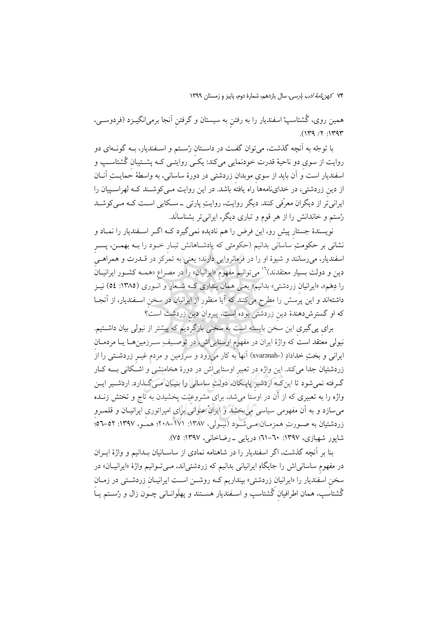۷۴ کهن*زنامهٔ ادب یارسی،* سال یازدهم، شمارهٔ دوم، پاییز و زمستان ۱۳۹۹

همین روی، گُشتاسپْ اسفندیار را به رفتن به سیستان و گرفتن آنجا برمیانگیــزد (فردوســی،  $(149/7.144)$ 

با توجّه به آنچه گذشت، می توان گفت در داسـتان رُسـتم و اسـفنديار، بــه گونــهاي دو روایت از سوی دو ناحیهٔ قدرت خودنمایی میکند: یکــُی روایتــی کــه پشــتیبان گُشتاســپ و اسفندیار است و آن باید از سوی موبدان زردشتی در دورهٔ ساسانی، به واسطهٔ حمایــتِ اَنــان از دین زردشتی، در خداینامهها راه یافته باشد. در این روایت مـی کوشـند کـه لهراسـییان را ایرانی تُر از دیگران معرّفی کنند. دیگر روایت، روایتِ پارتی ــ سـکایی اســت کــه مــیکوشــد رُستم و خاندانش را از هر قوم و تباری دیگر، ایرانیتر بشناسانَد.

نویسندهٔ جستار پیش رو، این فرض را هم نادیده نمیگیرد کـه اگـر اسـفندیار را نمـاد و نشانی بر حکومتِ ِساساَنی بدانیم (حکومتی که پادشــاهانش تبــار خــود را بــه بهمــن، پســر اسفندیار، میرسانند و شیوهٔ او را در فرمانروایی دارند؛ یعنی به تمرکز در قــدرت و همراهــی دین و دولت بسیار معتقدند)<sup>۱۰ </sup>میتوانیم مفهوم «ایرانیان» را در مصراع «همــه کشــور ایرانیــانُ را دِهَم»، «ایرانیان زردشتی» بدانیم؛ یعنی همان پنداری کـه شــعار و آنــوری (١٣٨٥: ٥٤) نیــز داشتهاند و این پرسش را مطرح میکنند که آیا منظور از ایرانیان در سخن اسـفندیار، از آنجـا که او گسترش دهندهٔ دین زردشتی بوده است، پیروان دین زردشت است؟

برای پیگیری این سخن بایسته است به سخنی بازگردیم که پیشتر از نیولی بیان داشــتیم. .<br>نیولی معتقد است که واژهٔ ایران در مفهوم اوستاییاش، در توصـیف ِ سـرزمینهـا یــا مردمــان ایرانی و بختِ خدادادِ (-xvarənah) آنها به کار میرود و سرزمین و مردم غیــر زردشــتی را از زردشتیان جدا میکند. این واژه در تعبیر اوستایی ش در دورهٔ هخامنشی َو اشـَکانی بـــه کــار گـرفته نمیشود تا اینکـه اردَشیر پاپـکان، دولتِ ساسانی را بنیــان مــیگــذارد. اردَشــیر ایــن واژه را به تعبیری که از آن در اوستا میشد، برای مشروعیّت بخشیدن به تاج و تختش زنــده میسازد و به آن مفهومی سیاسی میبخشد و ایرانْ عنوانی برای امپراتوری ایرانیـان و قلمــرو زردشتیان به صـورتِ همزمـان مـی شـود (نیـولی، ۱۳۸۷: ۱۷۱–۲۰۸؛ همـو، ۱۳۹۷: ۵۲–۵۲؛ شايور شهبازي، ١٣٩٧: ٦٠–٢١: دريايي ــ رضاخاني، ١٣٩٧: ٧٥).

بنا بر آنچه گذشت، اگر اسفندیار را در شاهنامه نمادی از ساسـانیان بـدانیم و واژهٔ ایــران در مفهوم ساسانی اش را جایگاهِ ایرانیانی بدانیم که زردشتی اند، مـیتوانیم واژهٔ «ایرانیـان» در سخن اسفندیار را «ایرانیان زردشتی» بپنداریم کــه روشــن اســت ایرانیــان زردشــتی در زمــان گُشتاسپ، همان اطرافیان گُشتاسپ و اسـفندیار هســتند و پهلَوانــانی چــون زال و رُســتم یــا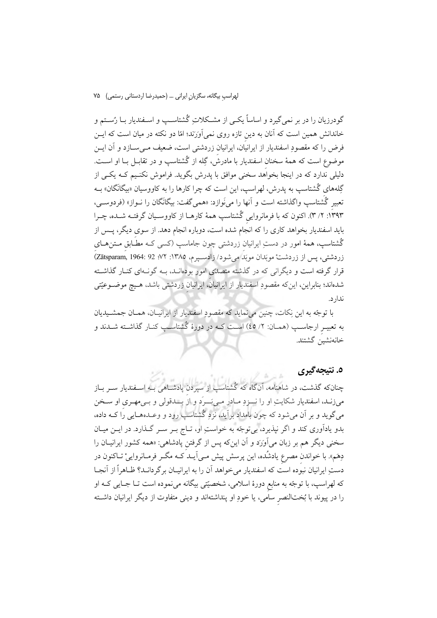گودرزیان را در بر نمیگیرد و اساساً یکـی از مشـکلاتِ گُشتاسـپ و اسـفندیار بــا رُسـتم و خاندانش همین است که آنان به دین تازه روی نمیآوَرَند؛ امّا دو نکته در میان است که ایــن فرض را که مقصودِ اسفندیار از ایرانیان، ایرانیان زردشتی است، ضعیف مـیسـازد و آن ایــن موضوع است که همهٔ سخنان اسفندیار با مادرشٌ، گِله از گُشتاسپ و در تقابـل بــا او اســت. دلیلی ندارد که در اینجا بخواهد سخنی موافق با پدرش بگوید. فراموش نکنـیم کــه یکــی از گِلههای گُشتاسپ به پدرش، لهراسپ، این است که چرا کارها را به کاووسیان «بیگانگان» بــه تعبیر گُشتاسپ واگذاشته است و آنها را مینَوازد: «همیگفت: بیگانَگان را نــواز» (فردوســی، ۱۳۹۳: ۲/ ۳). اکنون که با فرمانروایی گُشتاسپ همهٔ کارهـا از کاووسـیان گرفتــه شــده، چــرا باید اسفندیار بخواهد کاری را که انجام شده است، دوباره انجام دهد. از سوی دیگر، پــس از گُشتاسپ، همهٔ امور در دستِ ایرانیان زردشتی چون جاماسپ (کسی کـه مطـابق مــتن۵ــای زردشتی، پس از زردشتْ موبَدان موبَدَ میشود/زادســپرم، ۱۳۸۵: ۷۲؛ Zātsparam, 1964: 92) قرار گرفته است و دیگرانی که در گذشته متصلکی امور بودهانـد، بــه گونــهای کنــار گذاشــته شدهاند؛ بنابراین، اینکه مقصودِ اسفندیار از ایرانیان، ایرانیان زردشتی باشد، هـیچ موضــوعیّتی ندار د.

با توجّه به این نِکات، چنین می نماید که مقصودِ اسفندیار از ایرانیـان، همـان جمشـیدیان به تعبيــر ارجاســپ (همــان: ٢/ ٤٥) اســت كــه در دورهٔ گُشتاســپ كنــار گذاشــته شــدند و خانەنشين گشتند.

### ٥. نتيجەگيرى

.<br>چنانکه گذشت، در شاهنامه، آنگاه که گُشتاسپ از سپردن پادشـاه<sub>ی</sub> بــه اســفندیار ســر بــاز میزنـد، اسفندیار شکایتِ او را نـــزِدِ مــادر مــی تِـــرَد و ازَ بـــدقولی و بــیمهــری او ســخن میگوید و بر آن میشود که چون بامداد برآید، نزدِ گُشتاسپ رود و وعــدهـایی رَا کــه داده، بدو یادآوری کند و اگر نیذیرد، بی توجّه به خواست او، تـاج بـر سـر گـذارد. در ایــن میـان سخنی دیگر هم بر زبان میآوَرَد و آن اینِکه پس از گرفتن پادشاهی: «همه کشور ایرانیــان را دِهَم». با خواندن مصرع یادشُده، این پرسش پیش مـی]یــد کــه مگــر فرمــانرواییْ تــاکنون در دستِ ایرانیان نبوده است که اسفندیار میخواهد آن را به ایرانیـان برگردانـد؟ ظـاهراً از آنجـا که لهراسپ، با توجّه به منابع دورهٔ اسلامی، شخصیّتی بیگانه میٖنموده است تــا جــایی کــه او را در پیوند با بُختالنصر سامی، یا خودِ او پنداشتهاند و دینی متفاوت از دیگر ایرانیان داشــته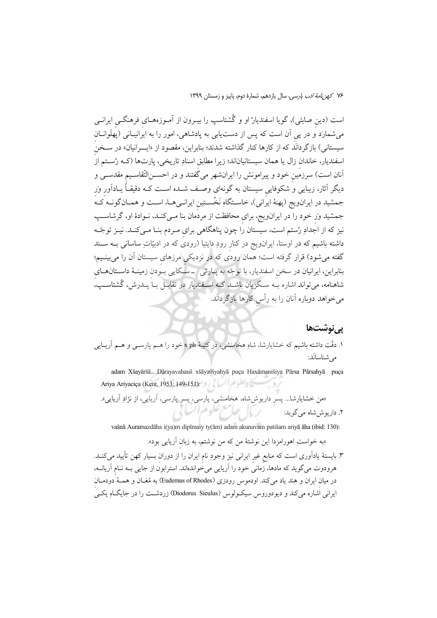است (دین صابئی)، گویا اسفندیارْ او و گُشتاسپ را بیـرون از آمـوزههـای فرهنگــی ایرانــی میشمارد و در پی آن است که پس از دستیابی به پادشاهی، امور را به ایرانیـانی (پهلَوانــان سیستانی) بازگردانَد که از کارها کنار گذاشته شدند؛ بنابراین، مقصود از «ایـــرانیان» در سـخن اسفندیار، خاندان زال یا همان سیستانیاناند؛ زیرا مطابق اسنادِ تاریخی، پارتها (کـه رُسـتم از آنان است) سرزمین خود و پیرامونش را ایرانشهر میگفتند و در احســنالتّقاســیم مقدســی و دیگر آثار، زیبایی و شکوفایی سیستان به گونهای وصـف شــده اســت کــه دقیقــاً یــادآور وَر جمشید در ایرانویج (پهنهٔ ایرانی)، خاسـتگاهِ نَخُسـتین ایرانـیهــا، اســت و همــانگونــه کــهُ جمشید ورِ خود را در ایرانویج، برای محافظت از مردّمان بنا مــیکنــد، نــوادهٔ او، گرشاســپ نیز که از اجدادِ رُستم است، سیستان را چون پناهگاهی برای مـردم بنــا مــیکنــد. نیــز توجّــه داشته باشیم که در اوستا، ایرانویج در کنار رودِ دایتیا (رودی که در ادبیّاتِ ساسانی بــه ســند گفته میشود) قرار گرفته است؛ همان رودی که در نزدیکی مرزهای سیستان آن را میبینـیم؛ بنابراین، ایرانیان در سخن اسفندیار، با توجّه به پــارتی \_\_ســکایی بــودن زمینــهٔ داســتان۱صای شاهنامه، می تواند اشاره بُـه سـگزیان باشــد کــه اســفندیار در تقابــل بــاً یــدرش، گُشتاســـبِ، می خواهد دوباره آنان را به رأس کارها بازگردانَد.

### یے نوشتھا

۱. دقّت داشته باشیم که خشایارشا، شاهِ هخامنشی، در کتیبهٔ x ph خود را هــم پارســی و هــم اَریــایی مى شناسانَد:

adam Xšayāršā... Dārayavahauš xšāyadiyahyā puça Haxāmanišiya Pārsa Pārsahyā puça Ariya Ariyaciça (Kent, 1953: 149-151):

«من خشایارشا… پسرِ داریوششاه، هخامنشی، پارسی، پسرِ پارسی، آریایی، از نژادِ آریایی».<br>وش‰اه میگوید: ۲. داریوششاه میگوید:

vašnā Auramazdāha i(ya)m dipīmaiy ty(ām) adam akunavam patišam ariyā āha (ibid: 130):

«به خواستِ اهورامزدا این نوشتهٔ من که من نوشتم، به زبان آریایی بود».

۳. بایستهٔ یادآوری است که منابع غیر ایرانی نیز وجودِ نام ایران را از دوران بسیار کهن تأیید میکنـد. هرودوت میگوید که مادها، زمانیَ خود را آریایی میخواندهاند. استرابونَ از جایی بــه نــام آریانــه، در میان ایران و هند یاد میکند. اودموس رودزی (Eudemus of Rhodes) به مُغـان و همـهٔ دودمـان ایرانی اشاره می کند و دیودوروس سیکولوس (Diodorus Siculus) زردشت را در جایگاهِ یکی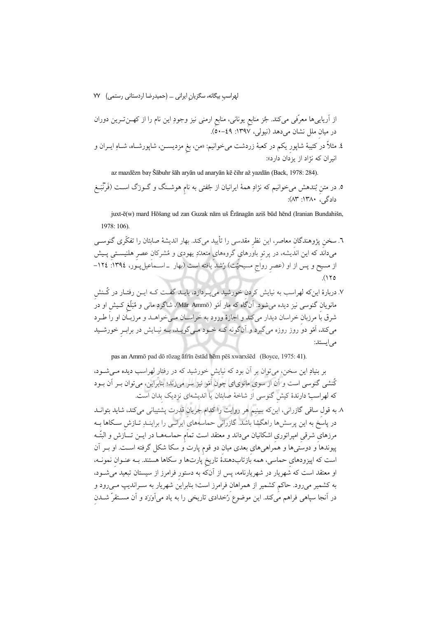لهراسب بيگانه، سكزيان ايراني ... (حميدرضا اردستاني رستمي) ٧٧

az mazdēzn bay Šābuhr šāh aryān ud anaryān kē čihr až yazdān (Back, 1978: 284).

juxt-ē(w) mard Hōšang ud zan Guzak nām uš Ērānagān aziš būd hēnd (Iranian Bundahišn, 1978: 106).

۷. دربارهٔ اینکه لهراسب به نیایش کردن خورشید میپـردازد، بایــد گفــت کــه ایــن رفتــار در کُـنش مانویان گنوسی نیز دیده می شود. آنگاه که مار اَمّو (Mār Ammō)، شاگردِ مانی و مُبَلّغ کـیش او درَ شرق باً مرزبان خراسان دیدار میکند و اجازهٔ ورود به خراسـان مـیخواهــد و مرزبــاَن او راَ طــرد میکند، اَمّو دو روز روزه میگیرد و آنگونه کـه خــود مــیگویــد، بــه نیــایش در برابــر خورشــید می ایستد:

pas an Ammō pad dō rōzag āfrīn ēstād hēm pēš xwarxšēd (Boyce, 1975: 41).

بر بنیادِ این سخن، می توان بر آن بود که نیایش خورشید که در رفتار لهراسب دیده می شـود، کُنشی گنوسی است و آن از سوی مانویای چون اَمَو نیز سر میزند؛ بنابَراین، میتوان بــر آن بــود که لهراسبْ دارندهٔ کیش گنوسی اَز شاخهٔ صابئان یا اندیشهای نزدیک بدان است.

٨. به قول ساقی گازرانی، اینکه ببینیم هر روایت را کدام جریان قدرت پشتیبانی میکند، شاید بتوانــد در پاسَخ به این پرسشها راهگشا باشد. گازرانی حماسههای ایرانـی را براینــدِ تــازش ســکاها بــه مرزهای شرقی امپراتوری اشکانیان میداند و معتقد است تمام حماسههـا در ایــن تـــاَزش و البتّــه پیوندها و دوستی ها و همراهی های بعدی میان دو قوم پارت و سکا شکل گرفته اسـت. او بــر آن است که اپیزودهای حماسی، همه بازتابدهندهٔ تاریخ پارتها و سکاها هستند. بـه عنـوان نمونـه، او معتقد است که شُهریار در شهریارنامه، پس از آنکُه به دستور فرامرز از سیستان تبعید مُیشــود، به کشمیر میرود. حاکم کشمیر از همراهان فرامرز است؛ بنابراین شهریار به سـراندیپ مـیرود و در آنجا سپاهی فراهم مَیکند. این موضوع ُرُخدادی تاریخی را به یاد میآوَرَد و آن مســتقرّ شــدن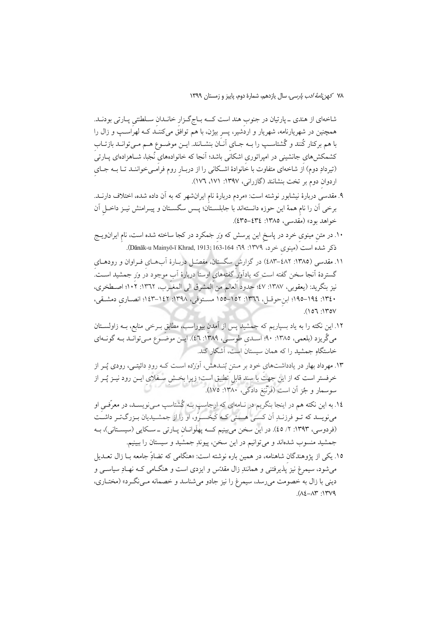۷۸ كهز *نامهٔ ادب پارسی،* سال یازدهم، شمارهٔ دوم، پاییز و زمستان ۱۳۹۹

شاخهای از هندی \_ پارتیان در جنوب هند است کــه بـاجگـزار خانـدان سـلطتتی پـارتی بودنـد. همچنین در شهریارنامه، شهریار و اردشیر، پسر بیژن، با هم توافق میکننـد کـه لهراسـب و زال را با هم برکنار کُنند و گُشتاسـپ را بــه جــای آنــان بنشــانند. ایــن موضــوع هــم مــیتوانــد بازتــاب کشمکشهای جانشینی در امپراتوری اشکانی باشد؛ آنجا که خانوادههای نُجَبا، شــاهزادهای پــارتی (تیردادِ دوم) از شاخهای متفاوت با خانوادهٔ اشـکانی را از دربــار روم فرامــیخواننــد تــا بــه جــای اردوان دوم بر تخت بنشانند (گازرانی، ۱۳۹۷: ۱۷۱، ۱۷۲).

- ۹. مقدسی دربارهٔ نیشابور نوشته است: «مردم دربارهٔ نام ایرانشهر که به آن داده شده، اختلاف دارنــد. برخي آن را نام همهٔ اين حوزه دانستهاند با جابلسـتان؛ پـس سگسـتان و پيـرامنش نيـز داخـل آن خواهد بود» (مقدسی، ۱۳۸۵: ٤٣٤–٤٣٥).
- ۱۰. در متن مینوی خرد در پاسخ این پرسش که وَر جَمکرد در کجا ساخته شده است، نام ایرانویــج ذكر شده است (مينوى خرد، ١٣٧٩: ٢٩: 163-163. Dānāk-u Mainyō-ī Khrad, 1913: 163-164).
- ۱۱. مقدسی (۱۳۸۵: ۶۸۲–۶۸۳) در گزارش سگستان، مفصّل دربـارهٔ آبهـای فـراوان و رودهـای گستردهٔ آنجا سخن گفته است که یادآور گفتههای اوستا دربارهٔ آب موجود در ور جمشید اسـت. نيز بنگريد: (يعقوبي، ١٣٨٧: ٤٧؛ حدود اَلعالم من اَلمشرق الى المغـُـرب، ١٣٦٢: ١٠٢؛ اصــطخرى، ١٣٤٠: ١٩٤-١٩٥؛ ابن حوقـل، ١٣٦٦: ١٥٢-١٥٥ مسـتوفى، ١٣٩٨: ١٤٢–١٤٢؛ انصـارى دمشـقى،  $(107:170V$
- ۱۲. این نکته را به یاد بسپاریم که جمشید پس از آمدن بیوراسب، مطابق بـرخی منابع، بــه زاولســتان مي گُريزد (بلعمي، ١٣٨٥: ٩٠؛ اسـدي طوسـي، ١٣٨٩: ٤٦). ايـن موضـوع مـي توانـد بـه گونـهاي خاستگاهِ جمشید را که همان سیستان است، آشکار کند.
- ۱۳. مهرداد بهار در یادداشتهای خود بر مـتن بُنــدهش، آوَرْده اســت کــه رودِ دائيتــی، رودی پُــر از خرفستر است که از این جهتُ با سند قابل ُتطبیق است؛ زیرا بخــش ســفلای ایــن رود نیــز پُــر از سوسمار و جُز آن است (فَرْنْبَغ دادگی، ۱۳۸۰: ۱۷۵).
- ١٤. به این نکته هم در اینجا بنگریم در نـامهای که ارجاسپ بـه گُشتاسپ مـیiویسـد، در معرّفـی او می نویسد که تـو فرزنـدِ اَن کسـی هسـتی کـه کَیخسـرَو، او را از جمشـیدیان بـزرگتـر داشـت (فردوسی، ۱۳۹۳: ۲/ ٤٥). در این سخن می بینیم کـه پهلَوانـان پـارتی ــ سـکایی (سیسـتانی)، بـه جمشید منسوب شدهاند و میتوانیم در این سخن، پیوندِ جمشید و سیستان را ببینیم.
- ۱۵. یکی از یژوهندگان شاهنامه، در همین باره نوشته است: «هنگامی که تضادِّ جامعه بــا زال تعــدیل می شود، سیمرغ نیز پذیرفتنی و همانندِ زال مقدّس و ایزدی است و هنگـامی کـه نهـادِ سیاسـی و دینی با زال به خصومت میرسد، سیمرغ را نیز جادو میشناسد و خصمانه مـینگـرد» (مختــاری،  $M^*$  :  $M-\lambda^*$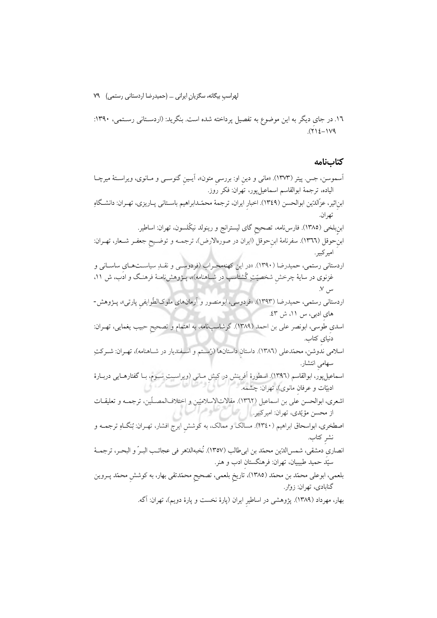۱٦. در جای دیگر به این موضوع به تفصیل پرداخته شده است. بنگرید: (اردسـتانی رسـتمی، ۱۳۹۰:  $(712-119)$ 

### كتابنامه

آسموسن، جس<sub>.</sub> پیتر (۱۳۷۳). «مان<sub>ی</sub> و دین او: بررسی متون»، اَیـین گنوســی و مـانوی، ویراســتهٔ میرچــا الياده، ترجمة ابوالقاسم اسماعيل پور، تهران: فكر روز. ابناثير، عزّالدّين ابوالحسن (١٣٤٩). اخبار ايران، ترجمهٔ محمّـدابراهيم باسـتاني پــاريزي، تهــران: دانشـگاهِ تھران. ابنبلخي (١٣٨٥). فارسiامه، تصحيح گاي ليسترانج و رينولد نيگلسون، تهران: اساطير. ابنحوقل (١٣٦٦). سفرنامهٔ ابنحوقل (ایران در صورهالارض)، ترجمـه و توضـیح جعفـر شـعار، تهـران: امير کبير . اردستانی رستمی، حمیدرضا (۱۳۹۰). «در این کهنهمحراب (فردوسـی و نقــدِ سیاســتهـای ساسـانی و غزنوی در سایهٔ چرخش شخصیّتِ گُشتاسپ در شــاهنامه)»، پــژوهشنامــهٔ فرهنــگ و ادَب، ش ۱۱، س ٧. اردستانی رستمی، حمیدرضا (۱۳۹۳). «فردوسی، ابومنصور و آرمانهای ملوکالطّوایفی پارتی»، پــژوهش-های ادبی، س ۱۱، ش ٤٣. اسدی طُوسی، ابونصر علی بن احمد (۱۳۸۹). گرشاسپنامه، به اهتمام و تصحیح حبیب یغمایی، تهـران: دنیای کتاب. اسلامی ندوشن، محمّدعلی (١٣٨٦). داستان داستانها (رُستم و اسـفنديار در شـاهنامه)، تهـران: شـركتِ سهامی انتشار. اسماعیلپور، ابوالقاسم (۱۳۹٦). اسطورهٔ اَفرینش در کیش مـانـی (ویراســتِ سـوم، بـا گفتارهـایـی دربــارهٔ ادبیّات و عرفان مانوی)، تهران: چشمه. اشعري، ابوالحسن علي بن اسماعيل (١٣٦٢). مقالاتالاسلاميّين و اختلافالمصـلّين، ترجمـه و تعليقـات از محسن مؤیّدی، تهران: امیرکبیر. ا اصطخری، ابواسحاق ابراهیم (۱۳٤۰). مسالک و ممالک، به کوشش ایرج افشار، تهـران: بُنگـاهِ ترجمــه و نشر كتاب. انصاري دمشقي، شمس|لدّين محمّد بن ابيطالب (١٣٥٧). نُخبهالدّهر في عجائـب البـرّ و البحـر، ترجمـهٔ سيّد حميد طبيبيان، تهران: فرهنگستان ادب و هنر . بلعمی، ابوعلی محمّد بن محمّد (١٣٨٥)، تاریخ بلعمی، تصحیحِ محمّدتقی بهار، به کوششِ محمّد پـروین گنابادي، تھران: زوار. بهار، مهرداد (۱۳۸۹). پژوهشی در اساطیر ایران (پارهٔ نخست و پارهٔ دویم)، تهران: آگه.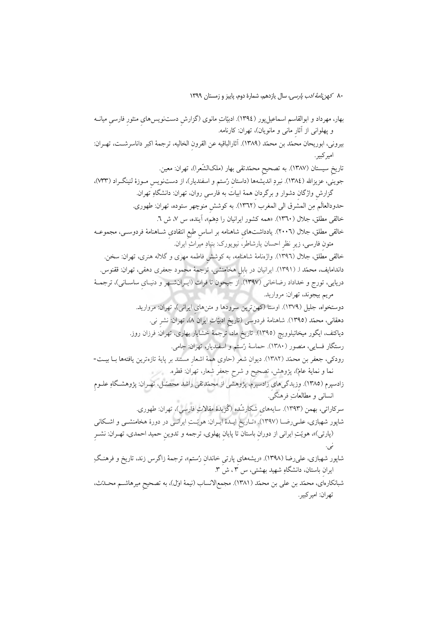۸۰ *کهن نامهٔ ادب پارسی*، سال یازدهم، شمارهٔ دوم، پاییز و زمستان ۱۳۹۹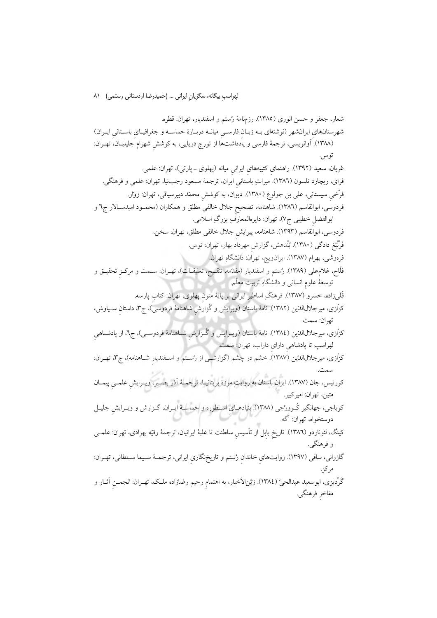شعار، جعفر و حسن انوري (١٣٨٥). رزمنامهٔ رُستم و اسفنديار، تهران: قطره. شهرستانهای ایرانشهر (نوشتهای بـه زبـان فارسـی میانـه دربـارهٔ حماسـه و جغرافیـای باسـتانی ایـران) (١٣٨٨). اَوانويسي، ترجمهٔ فارسي و يادداشتها از تورج دريايي، به كوشش شهرام جليليـان، تهـران: توس. عُریان، سعید (۱۳۹۲). راهنمای کتیبههای ایرانی میانه (پهلوی ــ پارتی)، تهران: علمی. فراي، ريچارد نلسون (١٣٨٦). ميراثِ باستانی ايران، ترجمهٔ مسعود رجبنيا، تهران: علمی و فرهنگی. فرَّخی سیستانی، علی بن جولوغ (۱۳۸۰). دیوان، به کوشش محمّد دبیرسیاقی، تهران: زوّار. فردوسی، ابوالقاسم (١٣٨٦). شاهنامه، تصحیح جلال خالقی مطلق و همکاران (محمـود امیدسـالار ج٦ و ابوالفضل خطيبي ج٧)، تهران: دايرهالمعارفٍ بزرگِ اسلامي. فردوسي، ابوالقاسم (١٣٩٣). شاهنامه، پيرايش جلال خالقي مطلق، تهران: سخن. فَوْنْبَغ دادگی (۱۳۸۰). بُنْدهش، گزارش مهرداد بهار، تهران: توس. فرەوشى، بهرام (١٣٨٧). ايرانويج، تهران: دانشگاهِ تهران. فلَّاح، غلام،علی (۱۳۸۹). رُستم و اسفندیار (مقدَّمه، تنقـیح، تعلیقــات)، تهــران: ســمت و مرکــز تحقیــق و توسعهٔ علوم انسانی و دانشگاهِ تربیت معلّم. قُلْمِزاده، خسرو (۱۳۸۷). فرهنگِ اساطیر ایرانی بر پایهٔ متون پهلوی، تهران: کتاب پارسه. کزازی، میرجلال\لدین (۱۳۸۲). نامهٔ باستان (ویرایش و گُزارَش شاهنامهٔ فردوسیَ)، ج۳، داستان سـیاوش، تھ ان: سمت. کزّازی، میرجلالاللدّین (١٣٨٤). نامهٔ باستان (ویــرایش و گُــزارش شــاهنامهٔ فردوســی)، ج٦، از پادشــاهی لهراسپ تا پادشاهی دارای داراب، تهران: سمت. کزّازی، میرجلالاللدّین (۱۳۸۷). خشم در چشم (گزارشـی از رُسـتم و اسـفندیار شـاهنامه)، ج۳، تهـران: كورتيس، جان (١٣٨٧). ايران باستان به روايتِ موزهٔ بريتانيــا، ترجمــهٔ اَذر بصــير، ويــرايش علمــي پيمــان متين، تهران: اميركبير. کویاجی، جهانگیر کُــووِرْجی (۱۳۸۸). بنیادهــایِ اســطوره و حماســهٔ ایــران، گــزارش و ویــرایش جلیــل دوستخواه، تهران: آگه. کینگ، لئوناردو (١٣٨٦). تاریخ بابل از تأسیس سلطنت تا غلبهٔ ایرانیان، ترجمهٔ رقیّه بهزادی، تهران: علمــی و فرهنگي. گازرانی، ساقی (۱۳۹۷). روایتهایِ خاندانِ رُستم و تاریخنگاریِ ایرانی، ترجمـهٔ سـیما سـلطانی، تهـران: مركز . گَرْدیزی، ابوسعید عبدالحیّ (١٣٨٤). زێن(لأخبار، به اهتمام رحیم رضازاده ملک، تهــران: انجمــن آثــار و مفاخر فرهنگي.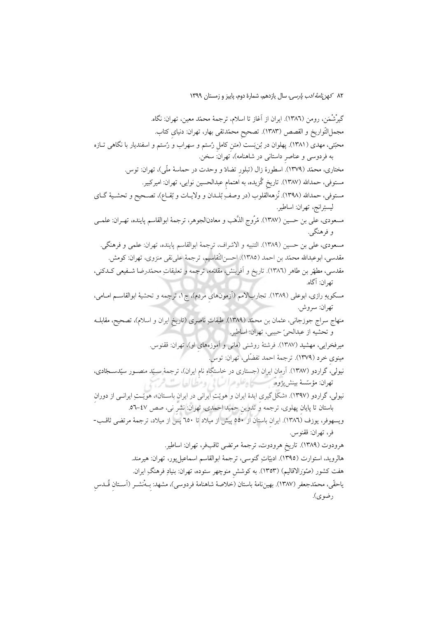گيرْشْمَن، رومن (١٣٨٦). ايران از آغاز تا اسلام، ترجمهٔ محمّد معين، تهران: نگاه. مجمل|لتّواريخ و القصص (١٣٨٣). تصحيح محمّدتقى بهار، تهران: دنياى كتاب. محبّتی، مهدی (۱۳۸۱). پهلوان در بُنبَست (متن کامل رُستم و سهراب و رُستم و اسفندیار با نگاهی تــازه به فردوسی و عناصر داستانی در شاهنامه)، تهران: سخن. مختاری، محمّد (۱۳۷۹). اسطورهٔ زال (تبلور تضادّ و وحدت در حماسهٔ ملّی)، تهران: توس. مستوفى، حمدالله (١٣٨٧). تاريخ گُزيده، به اهتمام عبدالحسين نوايى، تهران: اميركبير. مستوفى، حمدالله (١٣٩٨). نُزههالقلوب (در وصفِ بُلــدان و ولايــات و بُقــاع)، تصــحيح و تحشــيهٔ گــاى ليستِرانج، تهران: اساطير. مسعودي، علي بن حسين (١٣٨٧). مُرُوج الذُّهَب و معادنالجوهر، ترجمهٔ ابوالقاسم پاينده، تهـران: علمــي و فرهنگے ِ. مسعودي، علي بن حسين (١٣٨٩). التنبيه و الاشراف، ترجمهٔ ابوالقاسم پاينده، تهران: علمي و فرهنگي. مقدسي، ابوعبدالله محمّد بن احمد (١٣٨٥). احسنالتّقاسيم، ترجمهٔ على نقى منزوى، تهران: كومش. مقدسي، مطهّر بن طاهر (١٣٨٦). تاريخ و آفرينش، مقلَّته، ترجمه و تعليقاتِ محمّدرضا شـفيعي كـدكني، تھ ان: آگاه. مسكويهِ رازي، ابوعلي (١٣٨٩). تجاربالامم (أزمونهاي مردم)، ج١، ترجمه و تحشيهٔ ابوالقاسـم امـامي، تهران: سروش. منهاج سراج جوزجاني، عثمان بن محمّد (١٣٨٩). طبقاتِ ناصري (تاريخ ايران و اسلام)، تصحيح، مقابلــه و تحشيه از عبدالحيّ حبيبي، تهران: اساطير. میرفخرایی، مهشید (۱۳۸۷). فرشتهٔ روشنی (مانی و آموزههای او)، تهران: ققنوس. مينوي خرد (١٣٧٩). ترجمهٔ احمد تفضَّلي، تهران: توس نیولی، گراردو (۱۳۸۷). آرمان ایران (جستاری در خاستگاهِ نام ایران)، ترجمهٔ سـید منصـور سیّدســجّادی، تعدان: مؤسسة بينش پژوه مسلسكي وعلوم السا في ومطيالها بِ" فريسم نیولی، گراردو (۱۳۹۷). «شکل گیری ایدهٔ ایران و هویّتِ ایرانی در ایران باستان»، هویّتِ ایرانـی از دوران باستان تا پایان پهلوی، ترجمه و تدوین حمید احمدی، تهران: نشر نی، صص ٤٧-٥٦. ويسهوفر، يوزف (١٣٨٦). ايران باستان از ٥٥٠ پيش از ميلاد تا ٦٥٠ پس از ميلاد، ترجمهٔ مرتضى ثاقـب-فر، تهران: ققنوس. هرودوت (١٣٨٩). تاريخ هرودوت، ترجمهٔ مرتضى ثاقبفر، تهران: اساطير. هالرويد، استوارت (١٣٩٥). ادبيّاتِ گنوسي، ترجمهٔ ابوالقاسم اسماعيل يور، تهران: هيرمند. هفت كشور (صُوَرَالاقاليم) (١٣٥٣). به كوشش منوچهر ستوده، تهران: بنيادِ فرهنگِ ايران. ياحقّى، محمّدجعفر (١٣٨٧). بهينiامهٔ باستان (خلاصهٔ شاهنامهٔ فردوسی)، مشهد: بــهْنشــر (اَســتان قَــدس د ضوي).